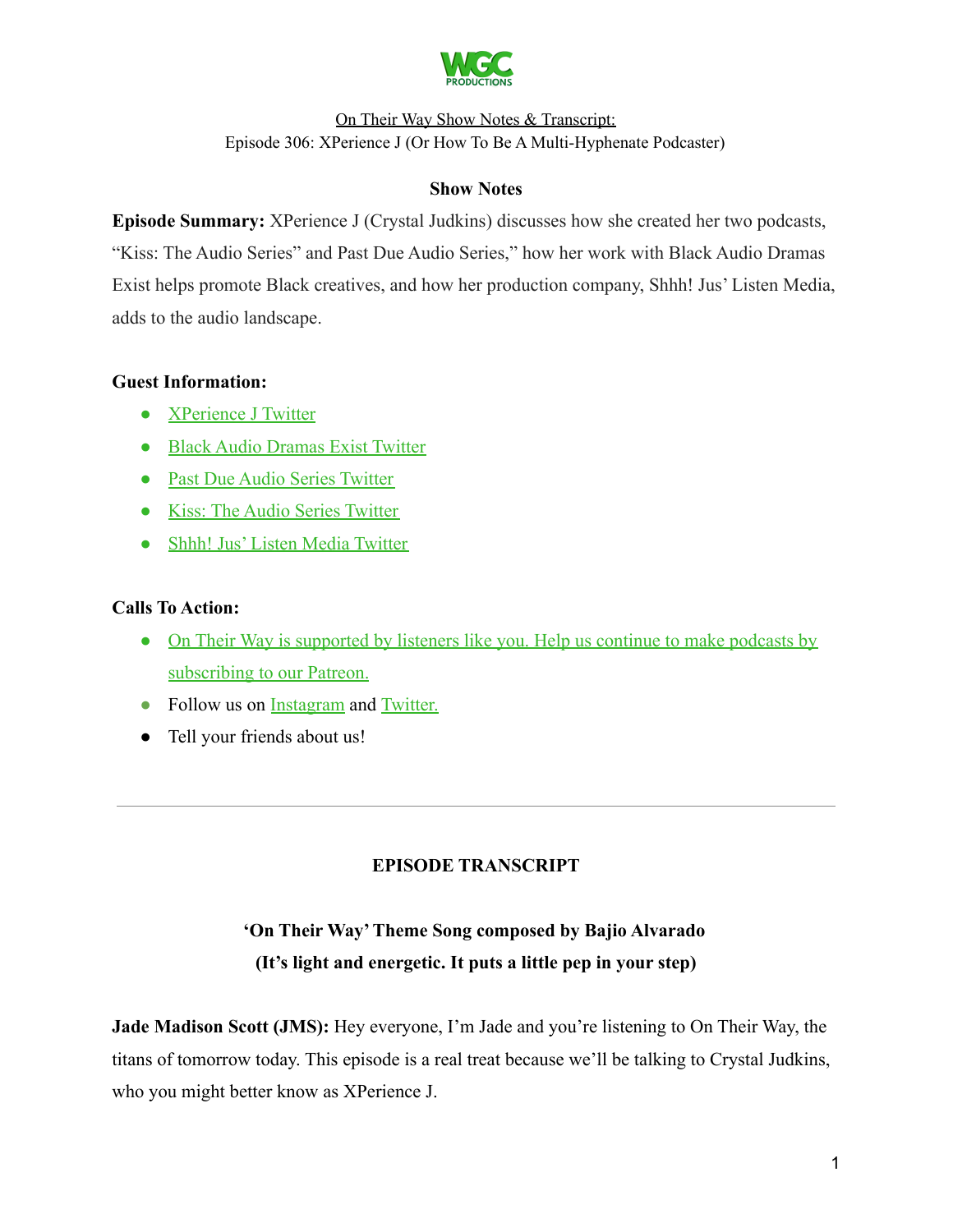

### **Show Notes**

**Episode Summary:** XPerience J (Crystal Judkins) discusses how she created her two podcasts, "Kiss: The Audio Series" and Past Due Audio Series," how her work with Black Audio Dramas Exist helps promote Black creatives, and how her production company, Shhh! Jus' Listen Media, adds to the audio landscape.

### **Guest Information:**

- [XPerience J Twitter](https://twitter.com/XperienceJ)
- [Black Audio Dramas Exist Twitter](https://twitter.com/BlkAudioDramas)
- [Past Due Audio Series Twitter](https://twitter.com/PastDueAudio)
- [Kiss: The Audio Series Twitter](https://twitter.com/Kisstheaudio)
- [Shhh! Jus' Listen Media Twitter](https://twitter.com/shhhjuslisten)

# **Calls To Action:**

- [On Their Way is supported by listeners like you. Help us continue to make podcasts by](https://www.patreon.com/withgoodco) [subscribing to our Patreon.](https://www.patreon.com/withgoodco)
- Follow us on [Instagram](https://www.instagram.com/withgoodco/) and [Twitter.](https://twitter.com/WithGoodCo)
- Tell your friends about us!

# **EPISODE TRANSCRIPT**

# **'On Their Way'Theme Song composed by Bajio Alvarado (It's light and energetic. It puts a little pep in your step)**

**Jade Madison Scott (JMS):** Hey everyone, I'm Jade and you're listening to On Their Way, the titans of tomorrow today. This episode is a real treat because we'll be talking to Crystal Judkins, who you might better know as XPerience J.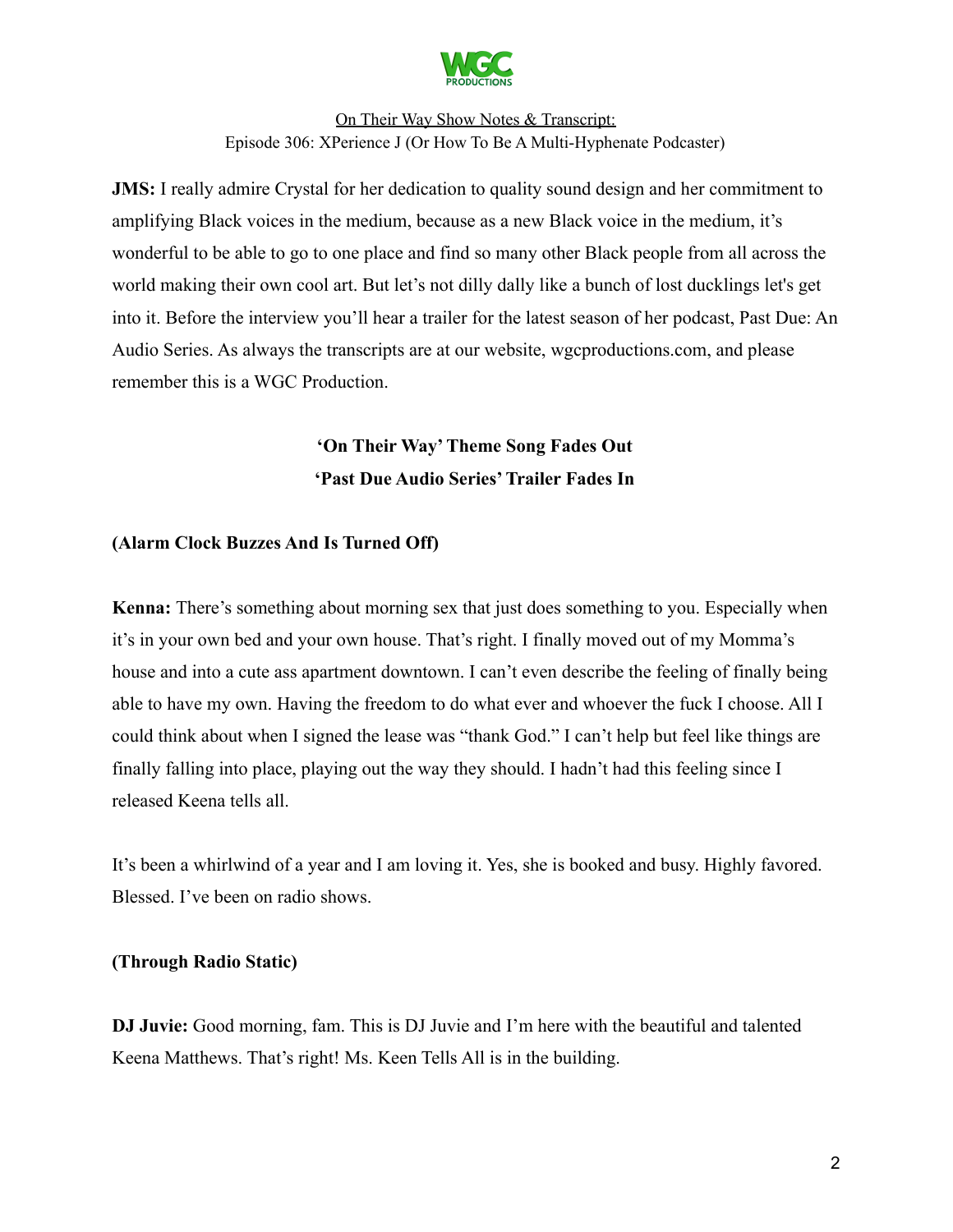

**JMS:** I really admire Crystal for her dedication to quality sound design and her commitment to amplifying Black voices in the medium, because as a new Black voice in the medium, it's wonderful to be able to go to one place and find so many other Black people from all across the world making their own cool art. But let's not dilly dally like a bunch of lost ducklings let's get into it. Before the interview you'll hear a trailer for the latest season of her podcast, Past Due: An Audio Series. As always the transcripts are at our website, wgcproductions.com, and please remember this is a WGC Production.

# **'On Their Way'Theme Song Fades Out 'Past Due Audio Series'Trailer Fades In**

### **(Alarm Clock Buzzes And Is Turned Off)**

**Kenna:** There's something about morning sex that just does something to you. Especially when it's in your own bed and your own house. That's right. I finally moved out of my Momma's house and into a cute ass apartment downtown. I can't even describe the feeling of finally being able to have my own. Having the freedom to do what ever and whoever the fuck I choose. All I could think about when I signed the lease was "thank God." I can't help but feel like things are finally falling into place, playing out the way they should. I hadn't had this feeling since I released Keena tells all.

It's been a whirlwind of a year and I am loving it. Yes, she is booked and busy. Highly favored. Blessed. I've been on radio shows.

#### **(Through Radio Static)**

**DJ Juvie:** Good morning, fam. This is DJ Juvie and I'm here with the beautiful and talented Keena Matthews. That's right! Ms. Keen Tells All is in the building.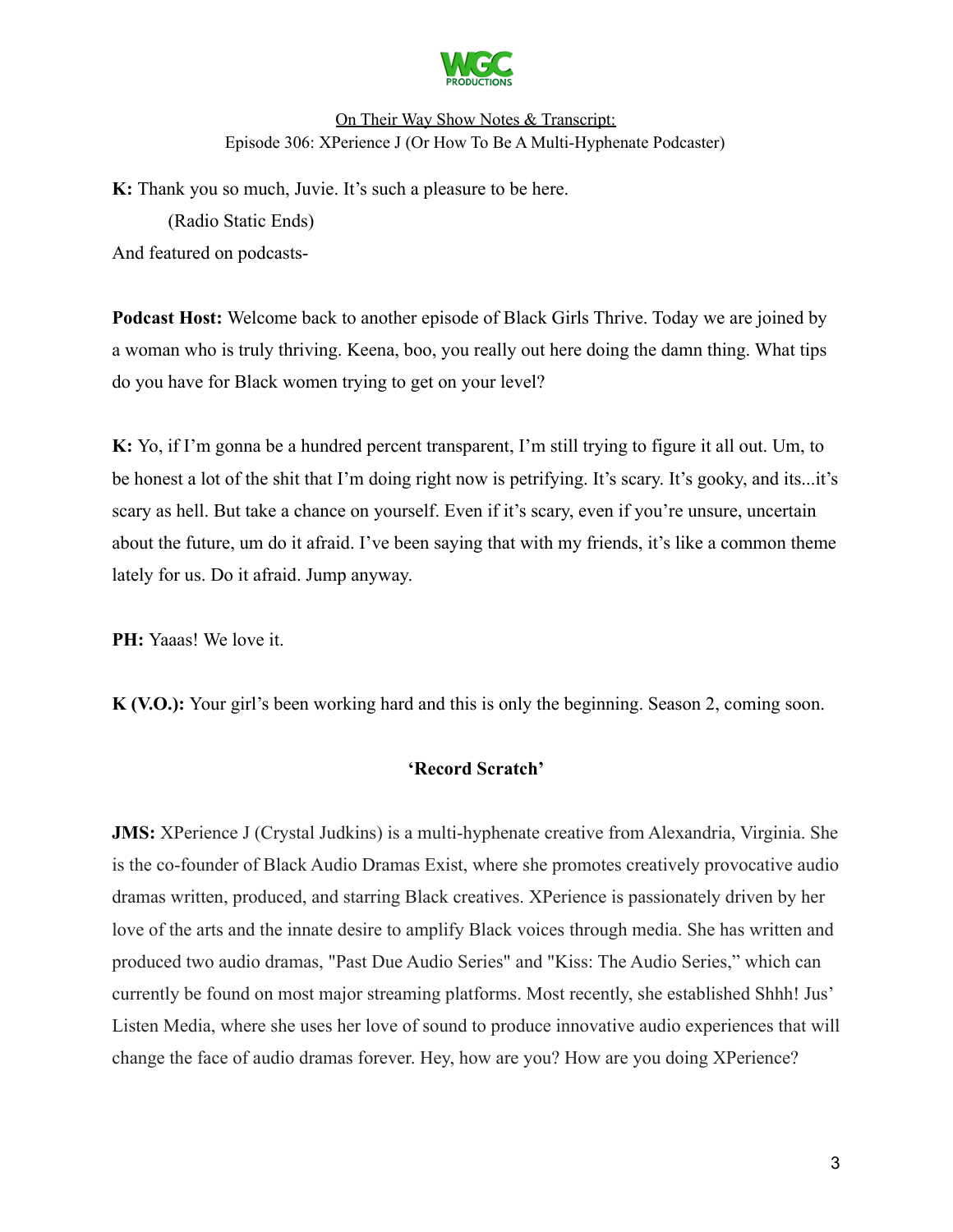

**K:** Thank you so much, Juvie. It's such a pleasure to be here. (Radio Static Ends) And featured on podcasts-

**Podcast Host:** Welcome back to another episode of Black Girls Thrive. Today we are joined by a woman who is truly thriving. Keena, boo, you really out here doing the damn thing. What tips do you have for Black women trying to get on your level?

**K:** Yo, if I'm gonna be a hundred percent transparent, I'm still trying to figure it all out. Um, to be honest a lot of the shit that I'm doing right now is petrifying. It's scary. It's gooky, and its...it's scary as hell. But take a chance on yourself. Even if it's scary, even if you're unsure, uncertain about the future, um do it afraid. I've been saying that with my friends, it's like a common theme lately for us. Do it afraid. Jump anyway.

**PH:** Yaaas! We love it.

**K (V.O.):** Your girl's been working hard and this is only the beginning. Season 2, coming soon.

### **'Record Scratch'**

**JMS:** XPerience J (Crystal Judkins) is a multi-hyphenate creative from Alexandria, Virginia. She is the co-founder of Black Audio Dramas Exist, where she promotes creatively provocative audio dramas written, produced, and starring Black creatives. XPerience is passionately driven by her love of the arts and the innate desire to amplify Black voices through media. She has written and produced two audio dramas, "Past Due Audio Series" and "Kiss: The Audio Series," which can currently be found on most major streaming platforms. Most recently, she established Shhh! Jus' Listen Media, where she uses her love of sound to produce innovative audio experiences that will change the face of audio dramas forever. Hey, how are you? How are you doing XPerience?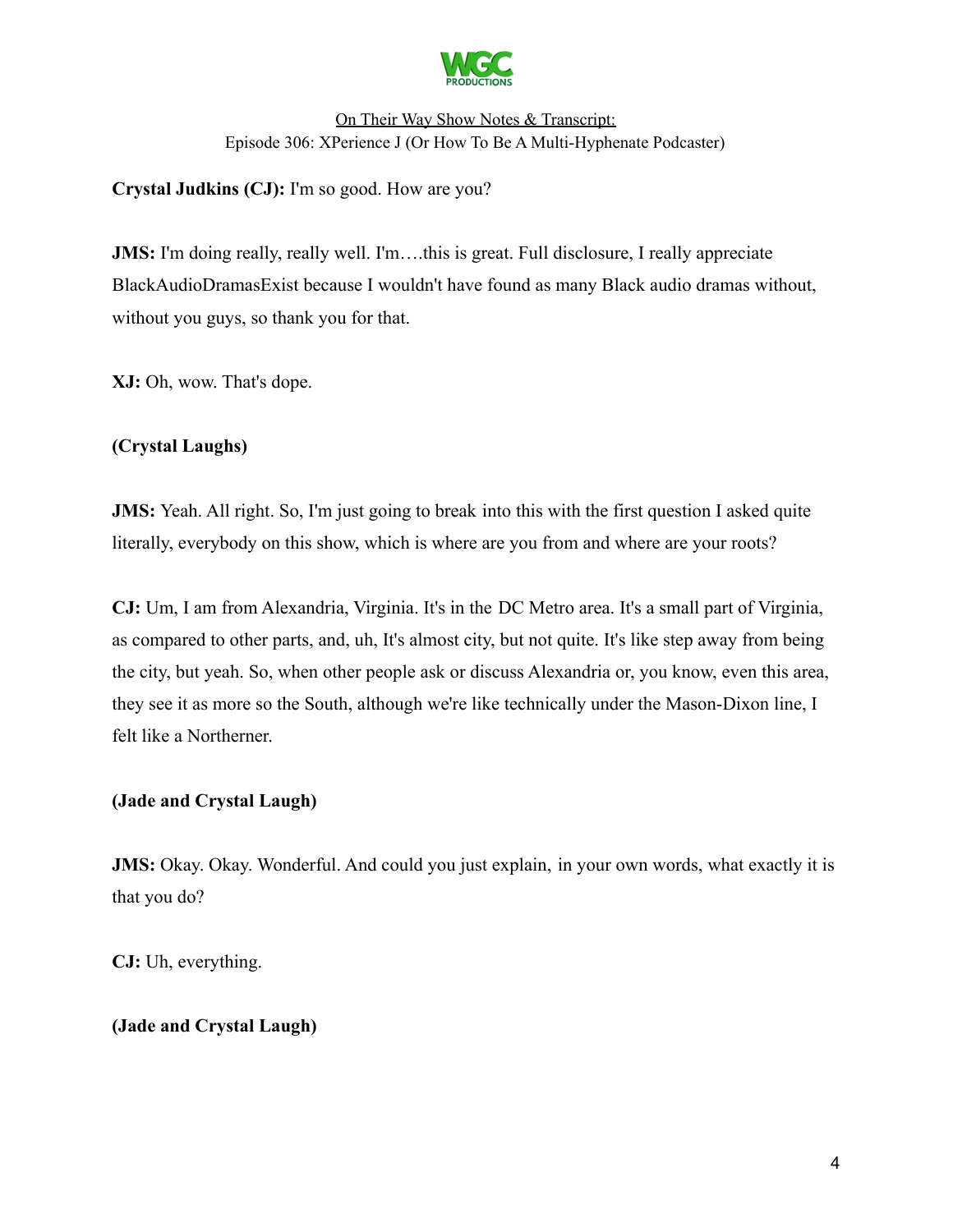

**Crystal Judkins (CJ):** I'm so good. How are you?

**JMS:** I'm doing really, really well. I'm…this is great. Full disclosure, I really appreciate BlackAudioDramasExist because I wouldn't have found as many Black audio dramas without, without you guys, so thank you for that.

**XJ:** Oh, wow. That's dope.

### **(Crystal Laughs)**

**JMS:** Yeah. All right. So, I'm just going to break into this with the first question I asked quite literally, everybody on this show, which is where are you from and where are your roots?

**CJ:** Um, I am from Alexandria, Virginia. It's in the DC Metro area. It's a small part of Virginia, as compared to other parts, and, uh, It's almost city, but not quite. It's like step away from being the city, but yeah. So, when other people ask or discuss Alexandria or, you know, even this area, they see it as more so the South, although we're like technically under the Mason-Dixon line, I felt like a Northerner.

### **(Jade and Crystal Laugh)**

**JMS:** Okay. Okay. Wonderful. And could you just explain, in your own words, what exactly it is that you do?

**CJ:** Uh, everything.

### **(Jade and Crystal Laugh)**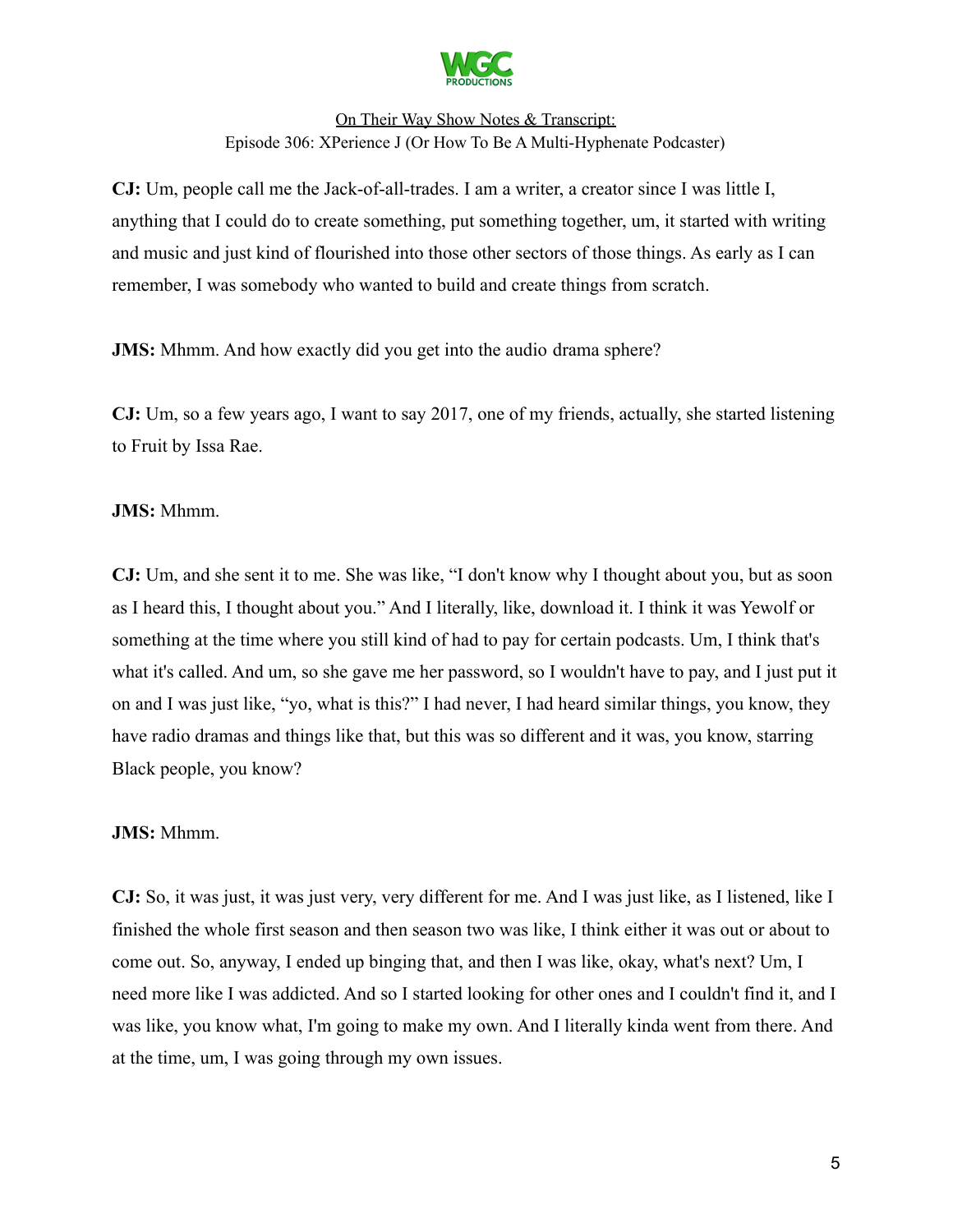

**CJ:** Um, people call me the Jack-of-all-trades. I am a writer, a creator since I was little I, anything that I could do to create something, put something together, um, it started with writing and music and just kind of flourished into those other sectors of those things. As early as I can remember, I was somebody who wanted to build and create things from scratch.

**JMS:** Mhmm. And how exactly did you get into the audio drama sphere?

**CJ:** Um, so a few years ago, I want to say 2017, one of my friends, actually, she started listening to Fruit by Issa Rae.

### **JMS:** Mhmm.

**CJ:** Um, and she sent it to me. She was like, "I don't know why I thought about you, but as soon as I heard this, I thought about you." And I literally, like, download it. I think it was Yewolf or something at the time where you still kind of had to pay for certain podcasts. Um, I think that's what it's called. And um, so she gave me her password, so I wouldn't have to pay, and I just put it on and I was just like, "yo, what is this?" I had never, I had heard similar things, you know, they have radio dramas and things like that, but this was so different and it was, you know, starring Black people, you know?

### **JMS:** Mhmm.

**CJ:** So, it was just, it was just very, very different for me. And I was just like, as I listened, like I finished the whole first season and then season two was like, I think either it was out or about to come out. So, anyway, I ended up binging that, and then I was like, okay, what's next? Um, I need more like I was addicted. And so I started looking for other ones and I couldn't find it, and I was like, you know what, I'm going to make my own. And I literally kinda went from there. And at the time, um, I was going through my own issues.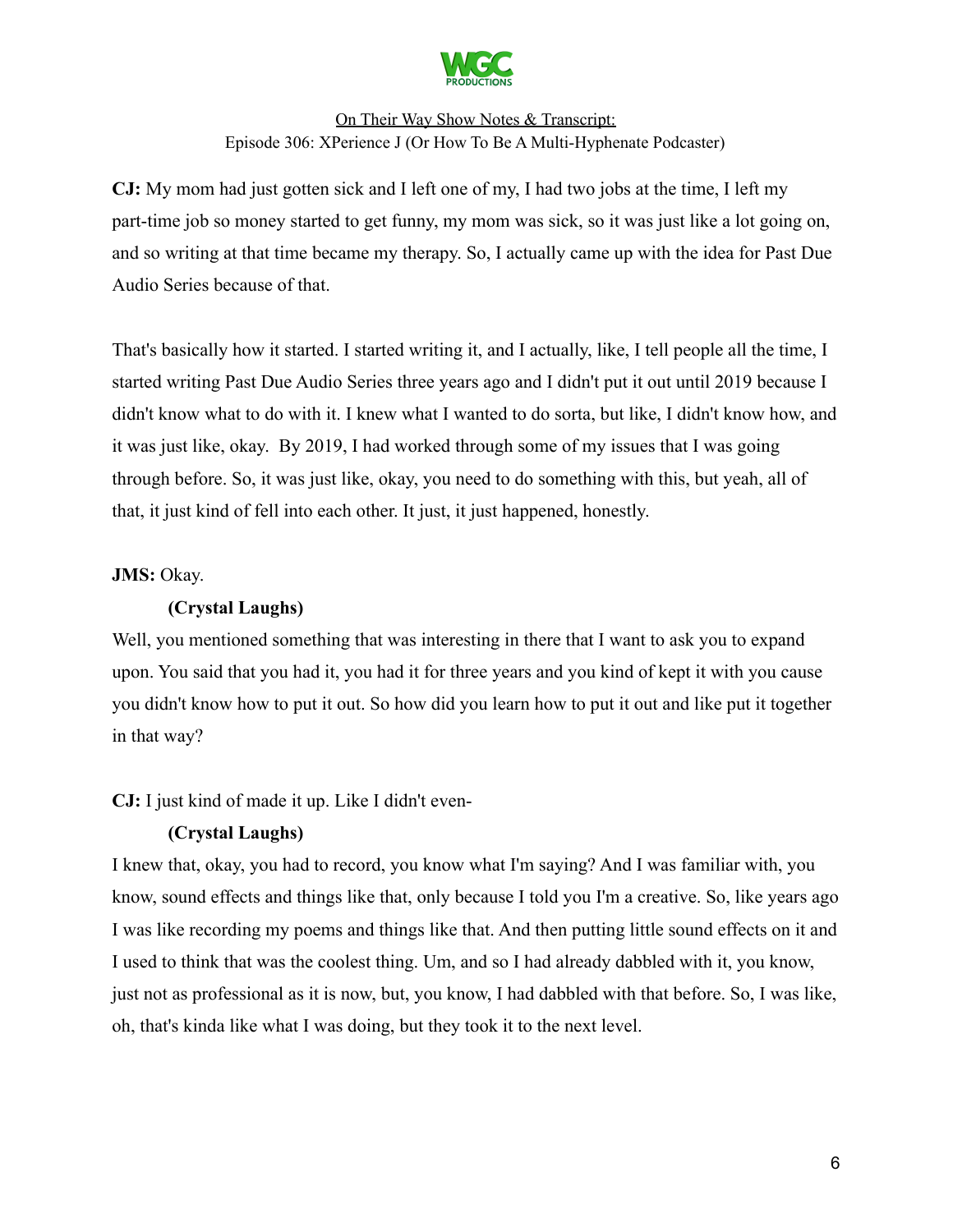

**CJ:** My mom had just gotten sick and I left one of my, I had two jobs at the time, I left my part-time job so money started to get funny, my mom was sick, so it was just like a lot going on, and so writing at that time became my therapy. So, I actually came up with the idea for Past Due Audio Series because of that.

That's basically how it started. I started writing it, and I actually, like, I tell people all the time, I started writing Past Due Audio Series three years ago and I didn't put it out until 2019 because I didn't know what to do with it. I knew what I wanted to do sorta, but like, I didn't know how, and it was just like, okay. By 2019, I had worked through some of my issues that I was going through before. So, it was just like, okay, you need to do something with this, but yeah, all of that, it just kind of fell into each other. It just, it just happened, honestly.

### **JMS:** Okay.

### **(Crystal Laughs)**

Well, you mentioned something that was interesting in there that I want to ask you to expand upon. You said that you had it, you had it for three years and you kind of kept it with you cause you didn't know how to put it out. So how did you learn how to put it out and like put it together in that way?

**CJ:** I just kind of made it up. Like I didn't even-

### **(Crystal Laughs)**

I knew that, okay, you had to record, you know what I'm saying? And I was familiar with, you know, sound effects and things like that, only because I told you I'm a creative. So, like years ago I was like recording my poems and things like that. And then putting little sound effects on it and I used to think that was the coolest thing. Um, and so I had already dabbled with it, you know, just not as professional as it is now, but, you know, I had dabbled with that before. So, I was like, oh, that's kinda like what I was doing, but they took it to the next level.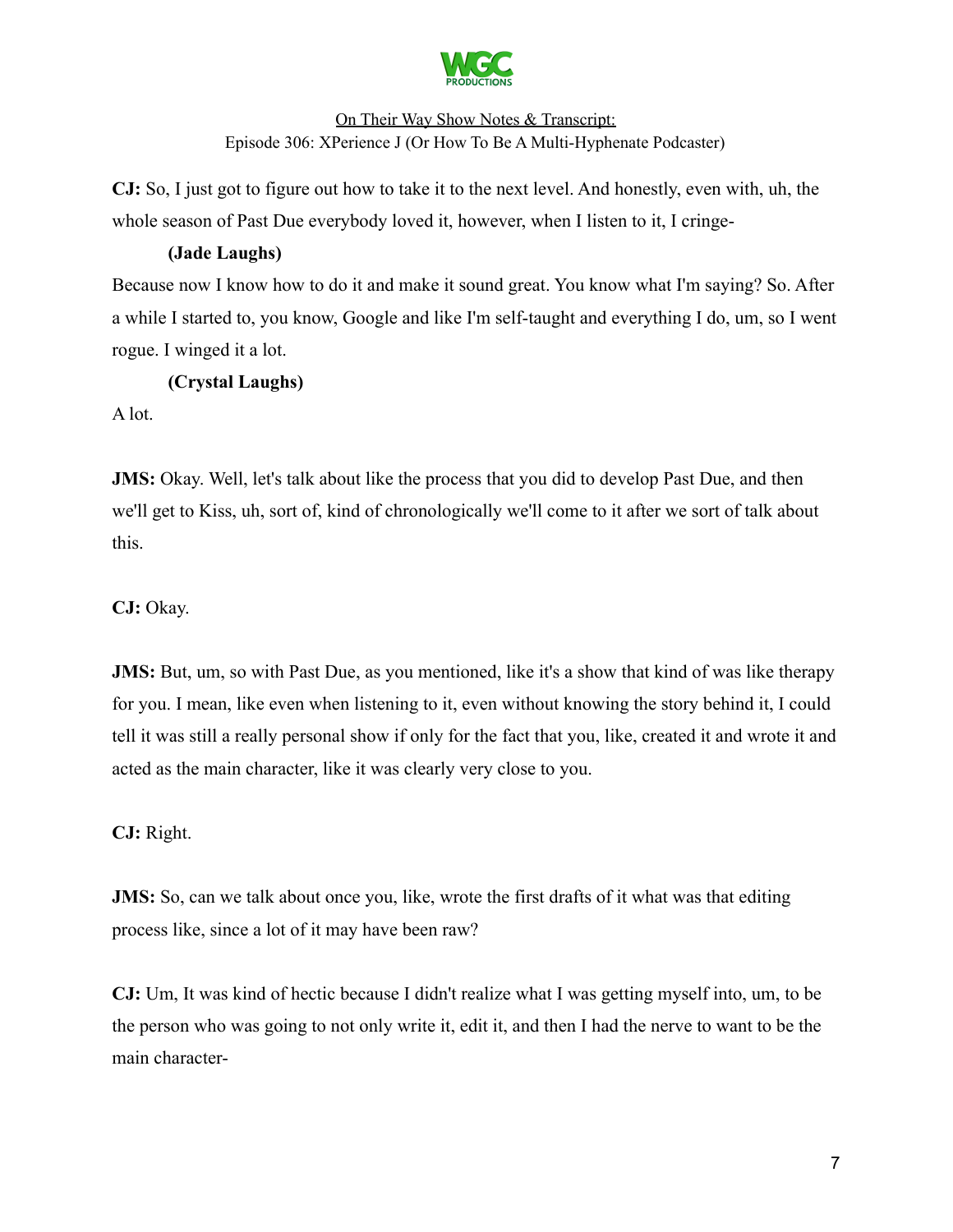

**CJ:** So, I just got to figure out how to take it to the next level. And honestly, even with, uh, the whole season of Past Due everybody loved it, however, when I listen to it, I cringe-

### **(Jade Laughs)**

Because now I know how to do it and make it sound great. You know what I'm saying? So. After a while I started to, you know, Google and like I'm self-taught and everything I do, um, so I went rogue. I winged it a lot.

# **(Crystal Laughs)**

A lot.

**JMS:** Okay. Well, let's talk about like the process that you did to develop Past Due, and then we'll get to Kiss, uh, sort of, kind of chronologically we'll come to it after we sort of talk about this.

**CJ:** Okay.

**JMS:** But, um, so with Past Due, as you mentioned, like it's a show that kind of was like therapy for you. I mean, like even when listening to it, even without knowing the story behind it, I could tell it was still a really personal show if only for the fact that you, like, created it and wrote it and acted as the main character, like it was clearly very close to you.

**CJ:** Right.

**JMS:** So, can we talk about once you, like, wrote the first drafts of it what was that editing process like, since a lot of it may have been raw?

**CJ:** Um, It was kind of hectic because I didn't realize what I was getting myself into, um, to be the person who was going to not only write it, edit it, and then I had the nerve to want to be the main character-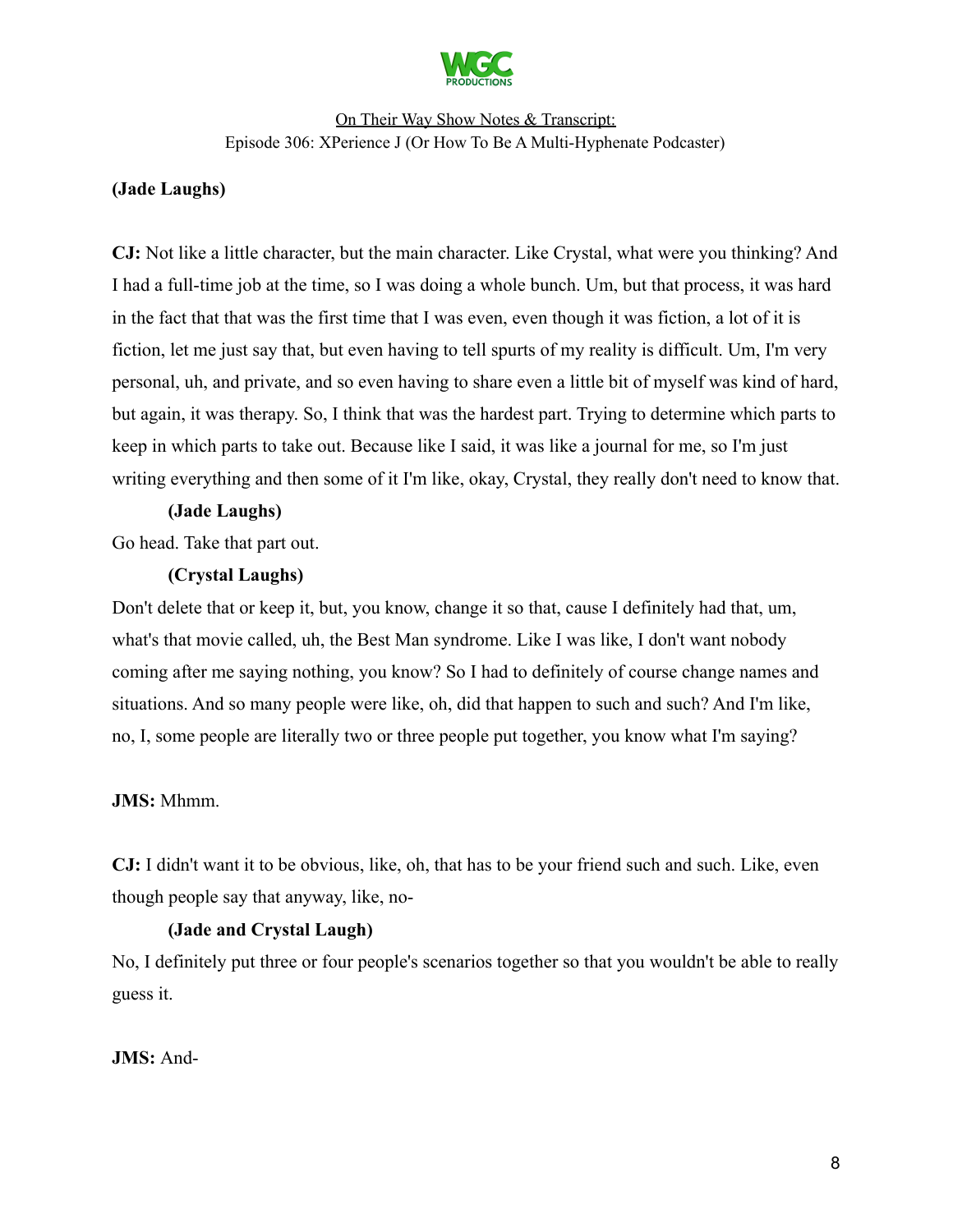

### **(Jade Laughs)**

**CJ:** Not like a little character, but the main character. Like Crystal, what were you thinking? And I had a full-time job at the time, so I was doing a whole bunch. Um, but that process, it was hard in the fact that that was the first time that I was even, even though it was fiction, a lot of it is fiction, let me just say that, but even having to tell spurts of my reality is difficult. Um, I'm very personal, uh, and private, and so even having to share even a little bit of myself was kind of hard, but again, it was therapy. So, I think that was the hardest part. Trying to determine which parts to keep in which parts to take out. Because like I said, it was like a journal for me, so I'm just writing everything and then some of it I'm like, okay, Crystal, they really don't need to know that.

#### **(Jade Laughs)**

Go head. Take that part out.

#### **(Crystal Laughs)**

Don't delete that or keep it, but, you know, change it so that, cause I definitely had that, um, what's that movie called, uh, the Best Man syndrome. Like I was like, I don't want nobody coming after me saying nothing, you know? So I had to definitely of course change names and situations. And so many people were like, oh, did that happen to such and such? And I'm like, no, I, some people are literally two or three people put together, you know what I'm saying?

#### **JMS:** Mhmm.

**CJ:** I didn't want it to be obvious, like, oh, that has to be your friend such and such. Like, even though people say that anyway, like, no-

### **(Jade and Crystal Laugh)**

No, I definitely put three or four people's scenarios together so that you wouldn't be able to really guess it.

#### **JMS:** And-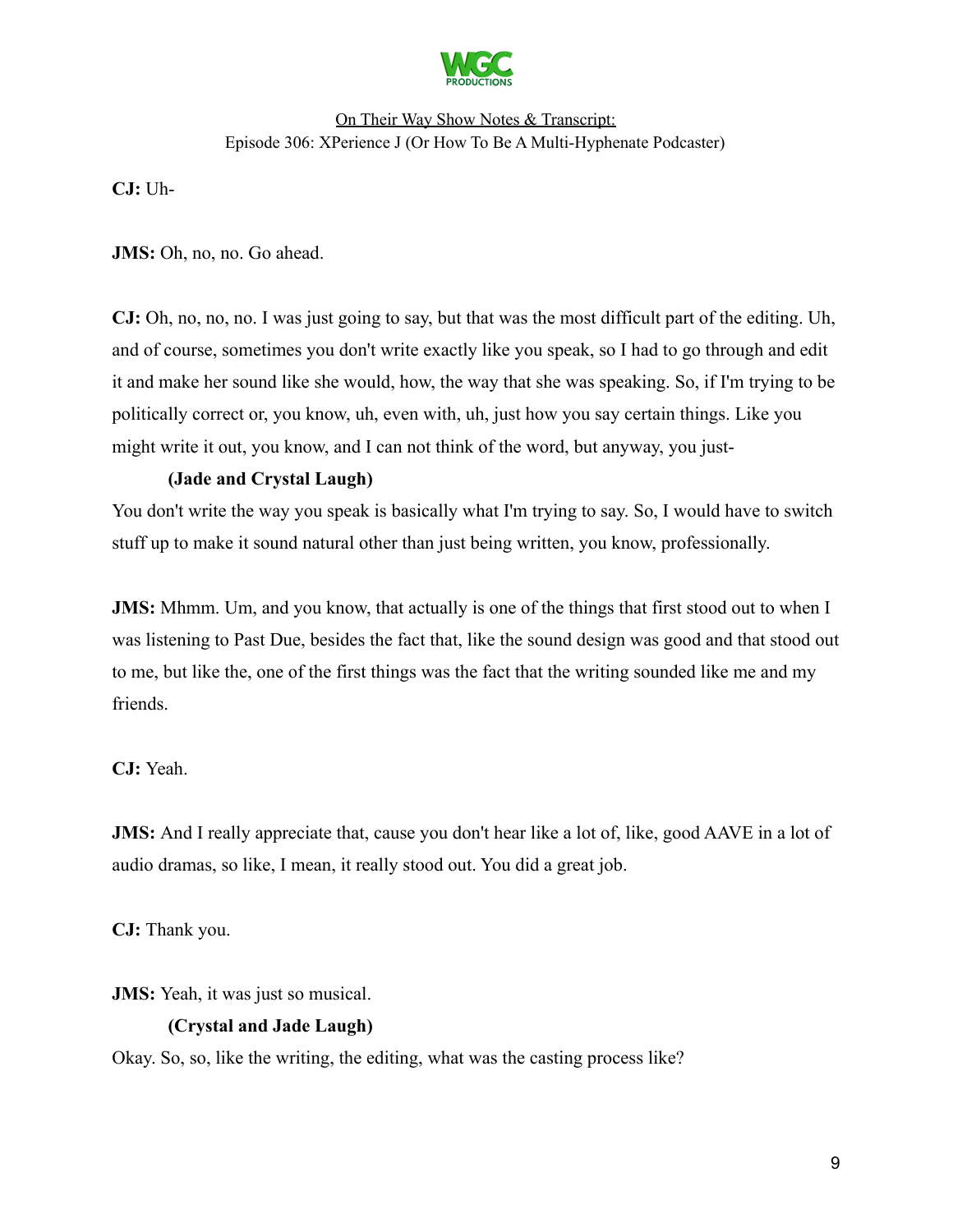

**CJ:** Uh-

**JMS:** Oh, no, no. Go ahead.

**CJ:** Oh, no, no, no. I was just going to say, but that was the most difficult part of the editing. Uh, and of course, sometimes you don't write exactly like you speak, so I had to go through and edit it and make her sound like she would, how, the way that she was speaking. So, if I'm trying to be politically correct or, you know, uh, even with, uh, just how you say certain things. Like you might write it out, you know, and I can not think of the word, but anyway, you just-

# **(Jade and Crystal Laugh)**

You don't write the way you speak is basically what I'm trying to say. So, I would have to switch stuff up to make it sound natural other than just being written, you know, professionally.

**JMS:** Mhmm. Um, and you know, that actually is one of the things that first stood out to when I was listening to Past Due, besides the fact that, like the sound design was good and that stood out to me, but like the, one of the first things was the fact that the writing sounded like me and my friends.

### **CJ:** Yeah.

**JMS:** And I really appreciate that, cause you don't hear like a lot of, like, good AAVE in a lot of audio dramas, so like, I mean, it really stood out. You did a great job.

**CJ:** Thank you.

**JMS:** Yeah, it was just so musical.

### **(Crystal and Jade Laugh)**

Okay. So, so, like the writing, the editing, what was the casting process like?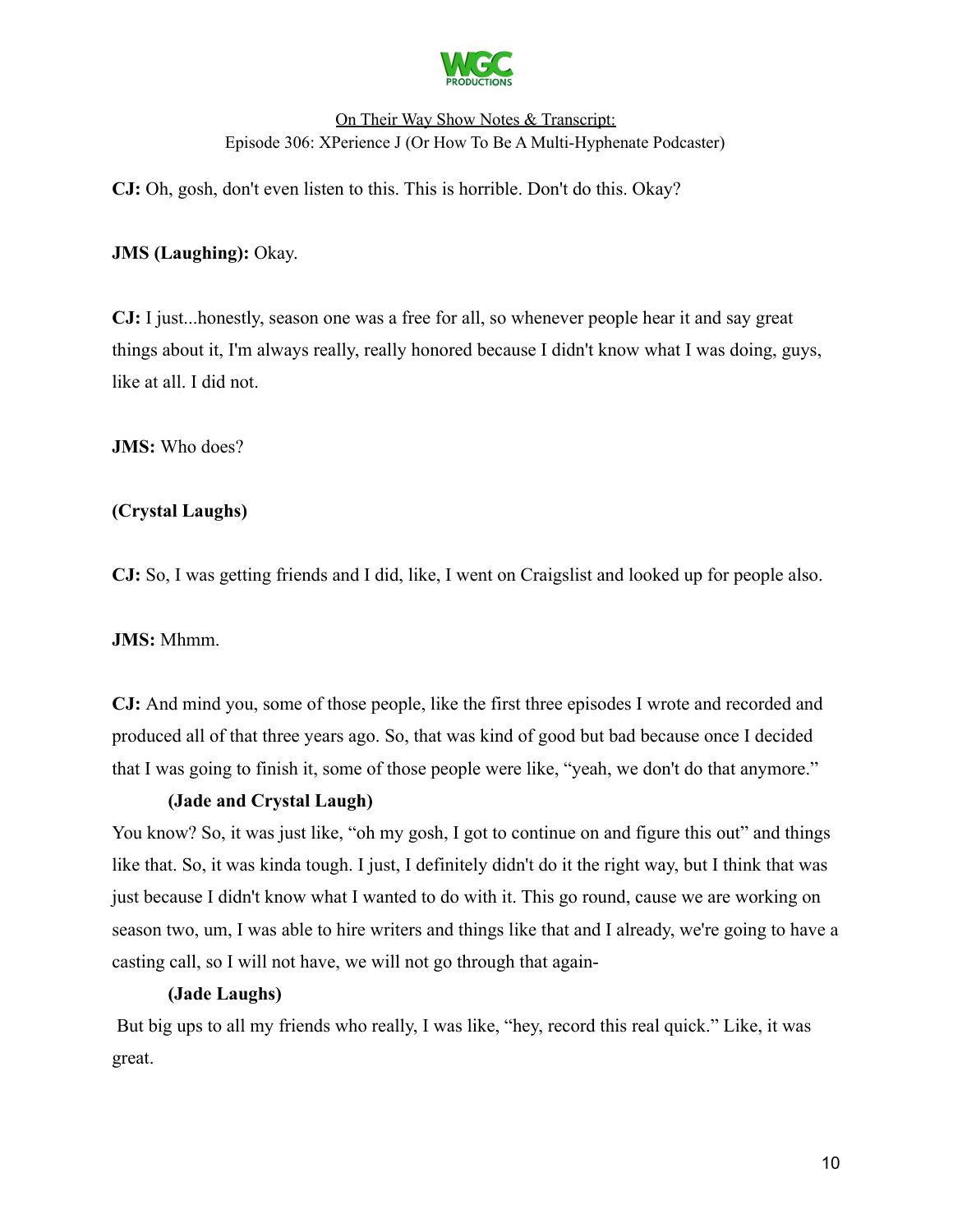

**CJ:** Oh, gosh, don't even listen to this. This is horrible. Don't do this. Okay?

### **JMS (Laughing):** Okay.

**CJ:** I just...honestly, season one was a free for all, so whenever people hear it and say great things about it, I'm always really, really honored because I didn't know what I was doing, guys, like at all. I did not.

**JMS:** Who does?

### **(Crystal Laughs)**

**CJ:** So, I was getting friends and I did, like, I went on Craigslist and looked up for people also.

### **JMS:** Mhmm.

**CJ:** And mind you, some of those people, like the first three episodes I wrote and recorded and produced all of that three years ago. So, that was kind of good but bad because once I decided that I was going to finish it, some of those people were like, "yeah, we don't do that anymore."

### **(Jade and Crystal Laugh)**

You know? So, it was just like, "oh my gosh, I got to continue on and figure this out" and things like that. So, it was kinda tough. I just, I definitely didn't do it the right way, but I think that was just because I didn't know what I wanted to do with it. This go round, cause we are working on season two, um, I was able to hire writers and things like that and I already, we're going to have a casting call, so I will not have, we will not go through that again-

#### **(Jade Laughs)**

But big ups to all my friends who really, I was like, "hey, record this real quick." Like, it was great.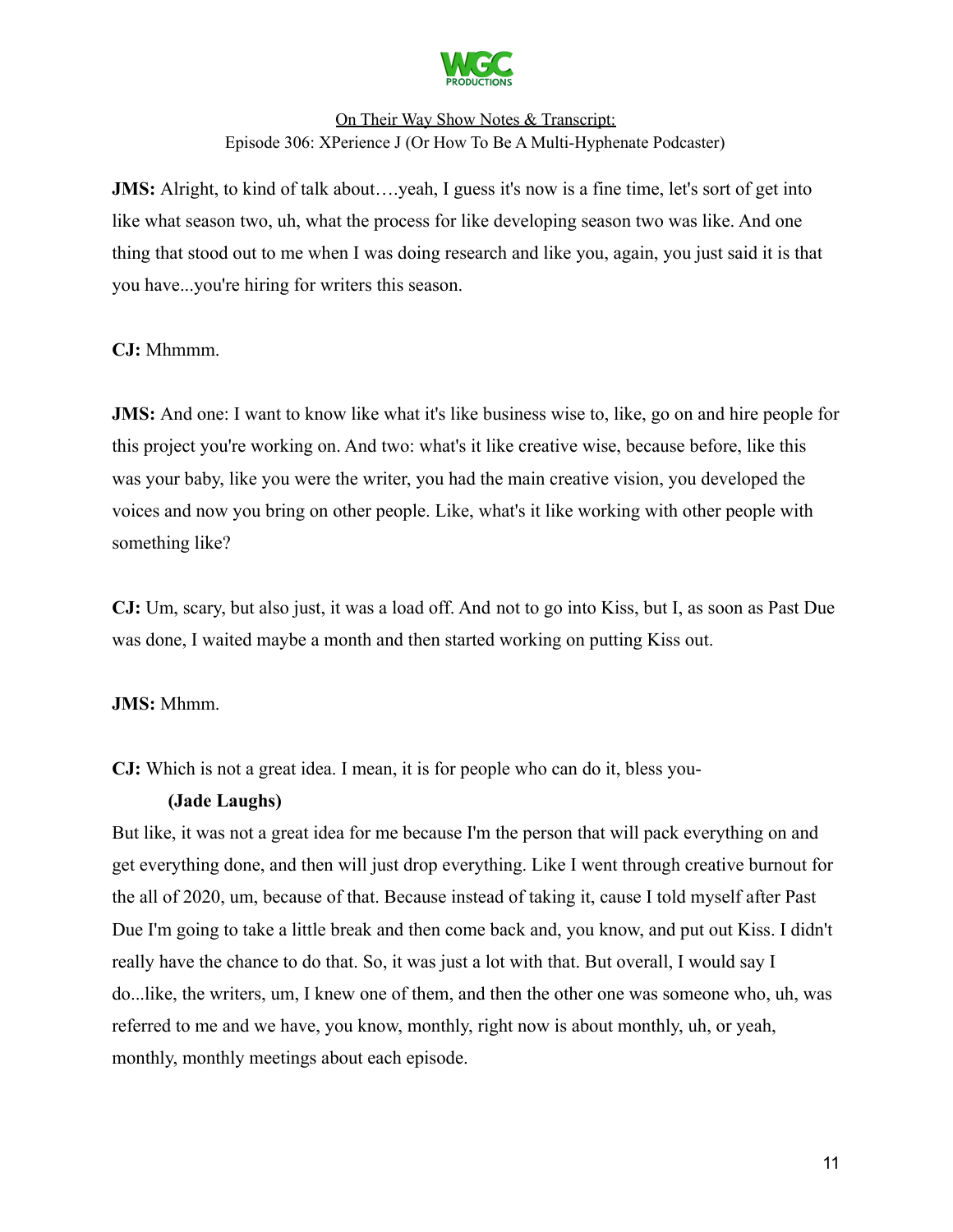

**JMS:** Alright, to kind of talk about....yeah, I guess it's now is a fine time, let's sort of get into like what season two, uh, what the process for like developing season two was like. And one thing that stood out to me when I was doing research and like you, again, you just said it is that you have...you're hiring for writers this season.

### **CJ:** Mhmmm.

**JMS:** And one: I want to know like what it's like business wise to, like, go on and hire people for this project you're working on. And two: what's it like creative wise, because before, like this was your baby, like you were the writer, you had the main creative vision, you developed the voices and now you bring on other people. Like, what's it like working with other people with something like?

**CJ:** Um, scary, but also just, it was a load off. And not to go into Kiss, but I, as soon as Past Due was done, I waited maybe a month and then started working on putting Kiss out.

### **JMS:** Mhmm.

**CJ:** Which is not a great idea. I mean, it is for people who can do it, bless you-

#### **(Jade Laughs)**

But like, it was not a great idea for me because I'm the person that will pack everything on and get everything done, and then will just drop everything. Like I went through creative burnout for the all of 2020, um, because of that. Because instead of taking it, cause I told myself after Past Due I'm going to take a little break and then come back and, you know, and put out Kiss. I didn't really have the chance to do that. So, it was just a lot with that. But overall, I would say I do...like, the writers, um, I knew one of them, and then the other one was someone who, uh, was referred to me and we have, you know, monthly, right now is about monthly, uh, or yeah, monthly, monthly meetings about each episode.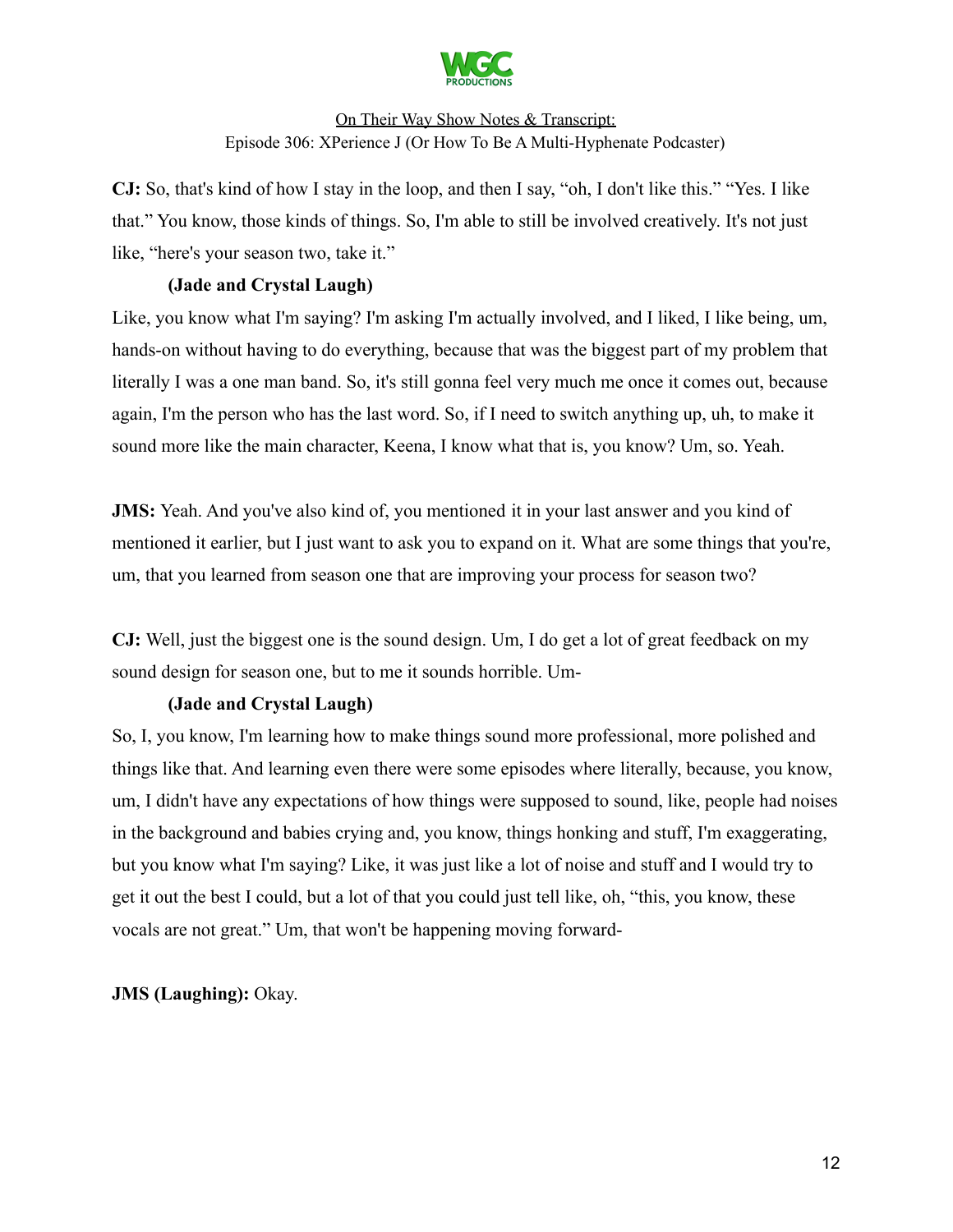

**CJ:** So, that's kind of how I stay in the loop, and then I say, "oh, I don't like this." "Yes. I like that." You know, those kinds of things. So, I'm able to still be involved creatively. It's not just like, "here's your season two, take it."

### **(Jade and Crystal Laugh)**

Like, you know what I'm saying? I'm asking I'm actually involved, and I liked, I like being, um, hands-on without having to do everything, because that was the biggest part of my problem that literally I was a one man band. So, it's still gonna feel very much me once it comes out, because again, I'm the person who has the last word. So, if I need to switch anything up, uh, to make it sound more like the main character, Keena, I know what that is, you know? Um, so. Yeah.

**JMS:** Yeah. And you've also kind of, you mentioned it in your last answer and you kind of mentioned it earlier, but I just want to ask you to expand on it. What are some things that you're, um, that you learned from season one that are improving your process for season two?

**CJ:** Well, just the biggest one is the sound design. Um, I do get a lot of great feedback on my sound design for season one, but to me it sounds horrible. Um-

# **(Jade and Crystal Laugh)**

So, I, you know, I'm learning how to make things sound more professional, more polished and things like that. And learning even there were some episodes where literally, because, you know, um, I didn't have any expectations of how things were supposed to sound, like, people had noises in the background and babies crying and, you know, things honking and stuff, I'm exaggerating, but you know what I'm saying? Like, it was just like a lot of noise and stuff and I would try to get it out the best I could, but a lot of that you could just tell like, oh, "this, you know, these vocals are not great." Um, that won't be happening moving forward-

### **JMS (Laughing):** Okay.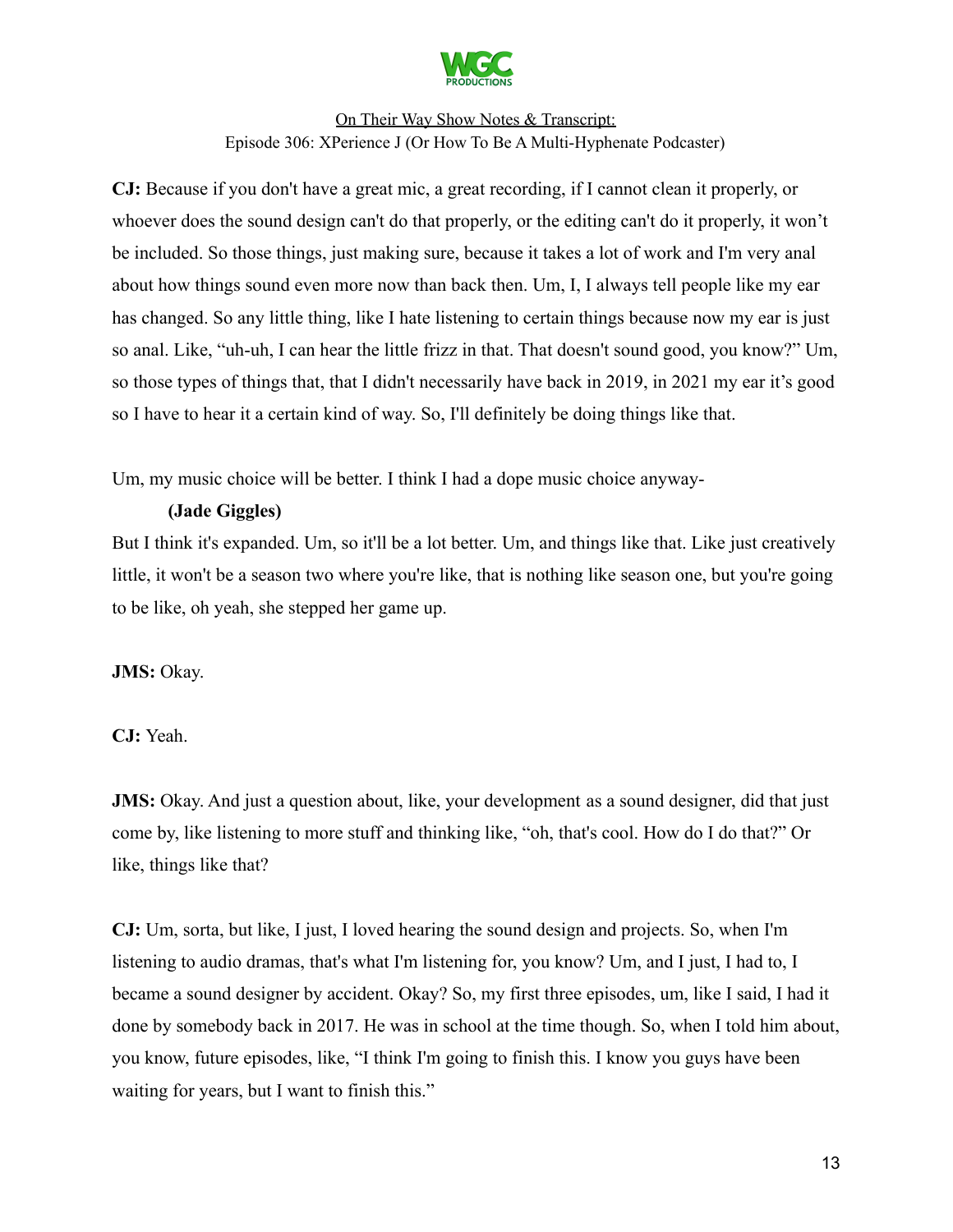

**CJ:** Because if you don't have a great mic, a great recording, if I cannot clean it properly, or whoever does the sound design can't do that properly, or the editing can't do it properly, it won't be included. So those things, just making sure, because it takes a lot of work and I'm very anal about how things sound even more now than back then. Um, I, I always tell people like my ear has changed. So any little thing, like I hate listening to certain things because now my ear is just so anal. Like, "uh-uh, I can hear the little frizz in that. That doesn't sound good, you know?" Um, so those types of things that, that I didn't necessarily have back in 2019, in 2021 my ear it's good so I have to hear it a certain kind of way. So, I'll definitely be doing things like that.

Um, my music choice will be better. I think I had a dope music choice anyway-

# **(Jade Giggles)**

But I think it's expanded. Um, so it'll be a lot better. Um, and things like that. Like just creatively little, it won't be a season two where you're like, that is nothing like season one, but you're going to be like, oh yeah, she stepped her game up.

# **JMS:** Okay.

**CJ:** Yeah.

**JMS:** Okay. And just a question about, like, your development as a sound designer, did that just come by, like listening to more stuff and thinking like, "oh, that's cool. How do I do that?" Or like, things like that?

**CJ:** Um, sorta, but like, I just, I loved hearing the sound design and projects. So, when I'm listening to audio dramas, that's what I'm listening for, you know? Um, and I just, I had to, I became a sound designer by accident. Okay? So, my first three episodes, um, like I said, I had it done by somebody back in 2017. He was in school at the time though. So, when I told him about, you know, future episodes, like, "I think I'm going to finish this. I know you guys have been waiting for years, but I want to finish this."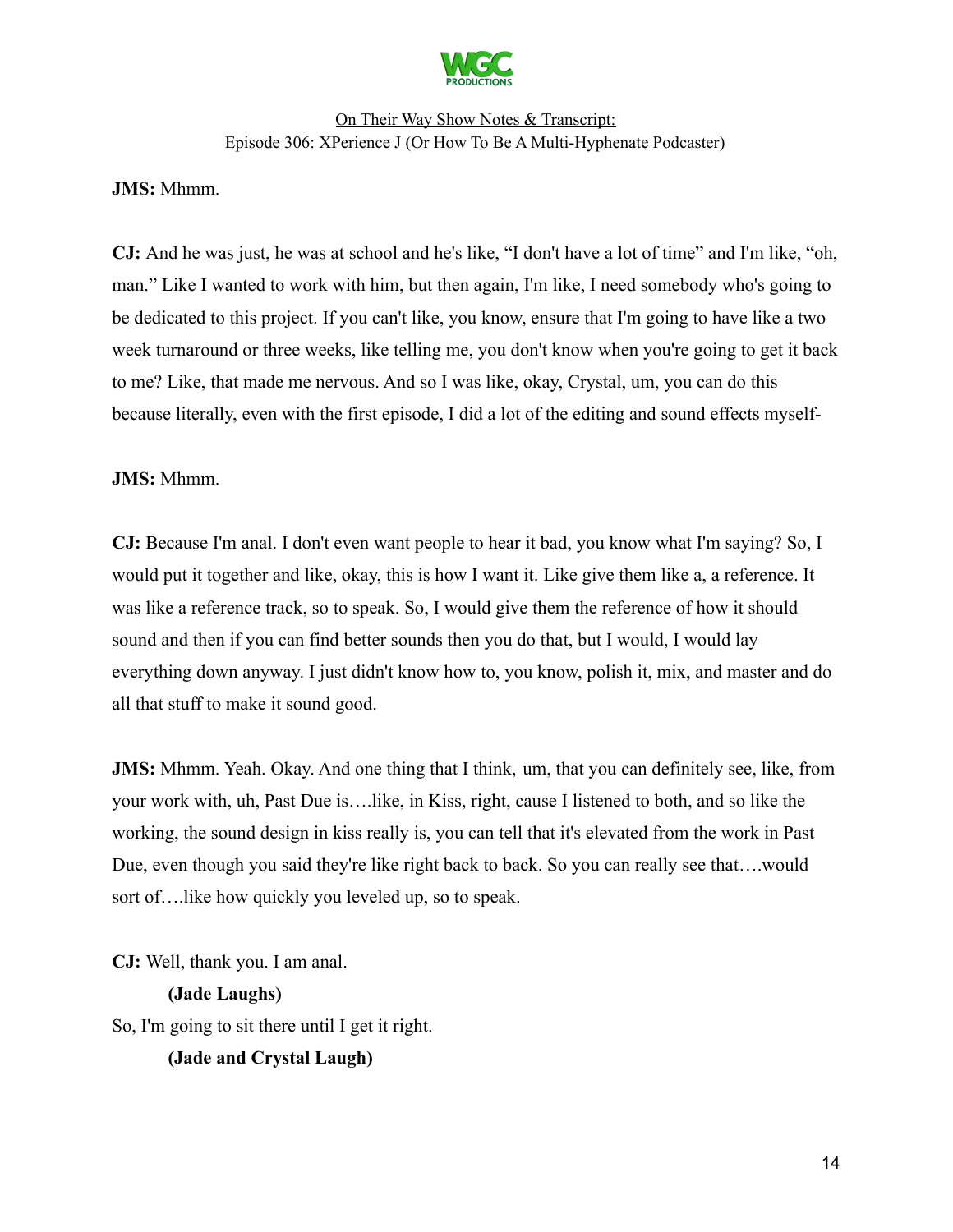

#### **JMS:** Mhmm.

**CJ:** And he was just, he was at school and he's like, "I don't have a lot of time" and I'm like, "oh, man." Like I wanted to work with him, but then again, I'm like, I need somebody who's going to be dedicated to this project. If you can't like, you know, ensure that I'm going to have like a two week turnaround or three weeks, like telling me, you don't know when you're going to get it back to me? Like, that made me nervous. And so I was like, okay, Crystal, um, you can do this because literally, even with the first episode, I did a lot of the editing and sound effects myself-

#### **JMS:** Mhmm.

**CJ:** Because I'm anal. I don't even want people to hear it bad, you know what I'm saying? So, I would put it together and like, okay, this is how I want it. Like give them like a, a reference. It was like a reference track, so to speak. So, I would give them the reference of how it should sound and then if you can find better sounds then you do that, but I would, I would lay everything down anyway. I just didn't know how to, you know, polish it, mix, and master and do all that stuff to make it sound good.

**JMS:** Mhmm. Yeah. Okay. And one thing that I think, um, that you can definitely see, like, from your work with, uh, Past Due is….like, in Kiss, right, cause I listened to both, and so like the working, the sound design in kiss really is, you can tell that it's elevated from the work in Past Due, even though you said they're like right back to back. So you can really see that….would sort of….like how quickly you leveled up, so to speak.

**CJ:** Well, thank you. I am anal. **(Jade Laughs)** So, I'm going to sit there until I get it right.

**(Jade and Crystal Laugh)**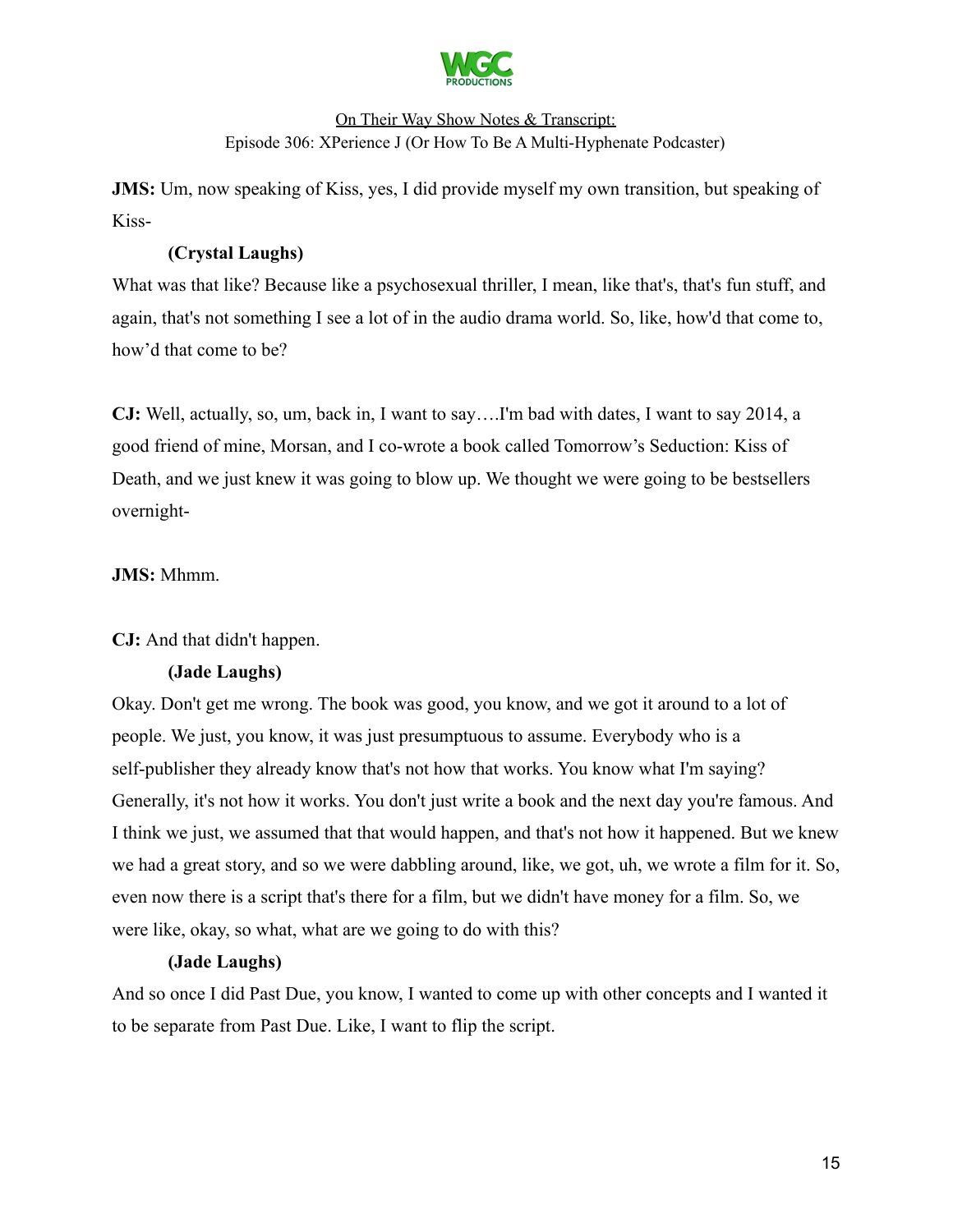

**JMS:** Um, now speaking of Kiss, yes, I did provide myself my own transition, but speaking of Kiss-

# **(Crystal Laughs)**

What was that like? Because like a psychosexual thriller, I mean, like that's, that's fun stuff, and again, that's not something I see a lot of in the audio drama world. So, like, how'd that come to, how'd that come to be?

**CJ:** Well, actually, so, um, back in, I want to say….I'm bad with dates, I want to say 2014, a good friend of mine, Morsan, and I co-wrote a book called Tomorrow's Seduction: Kiss of Death, and we just knew it was going to blow up. We thought we were going to be bestsellers overnight-

### **JMS:** Mhmm.

### **CJ:** And that didn't happen.

### **(Jade Laughs)**

Okay. Don't get me wrong. The book was good, you know, and we got it around to a lot of people. We just, you know, it was just presumptuous to assume. Everybody who is a self-publisher they already know that's not how that works. You know what I'm saying? Generally, it's not how it works. You don't just write a book and the next day you're famous. And I think we just, we assumed that that would happen, and that's not how it happened. But we knew we had a great story, and so we were dabbling around, like, we got, uh, we wrote a film for it. So, even now there is a script that's there for a film, but we didn't have money for a film. So, we were like, okay, so what, what are we going to do with this?

### **(Jade Laughs)**

And so once I did Past Due, you know, I wanted to come up with other concepts and I wanted it to be separate from Past Due. Like, I want to flip the script.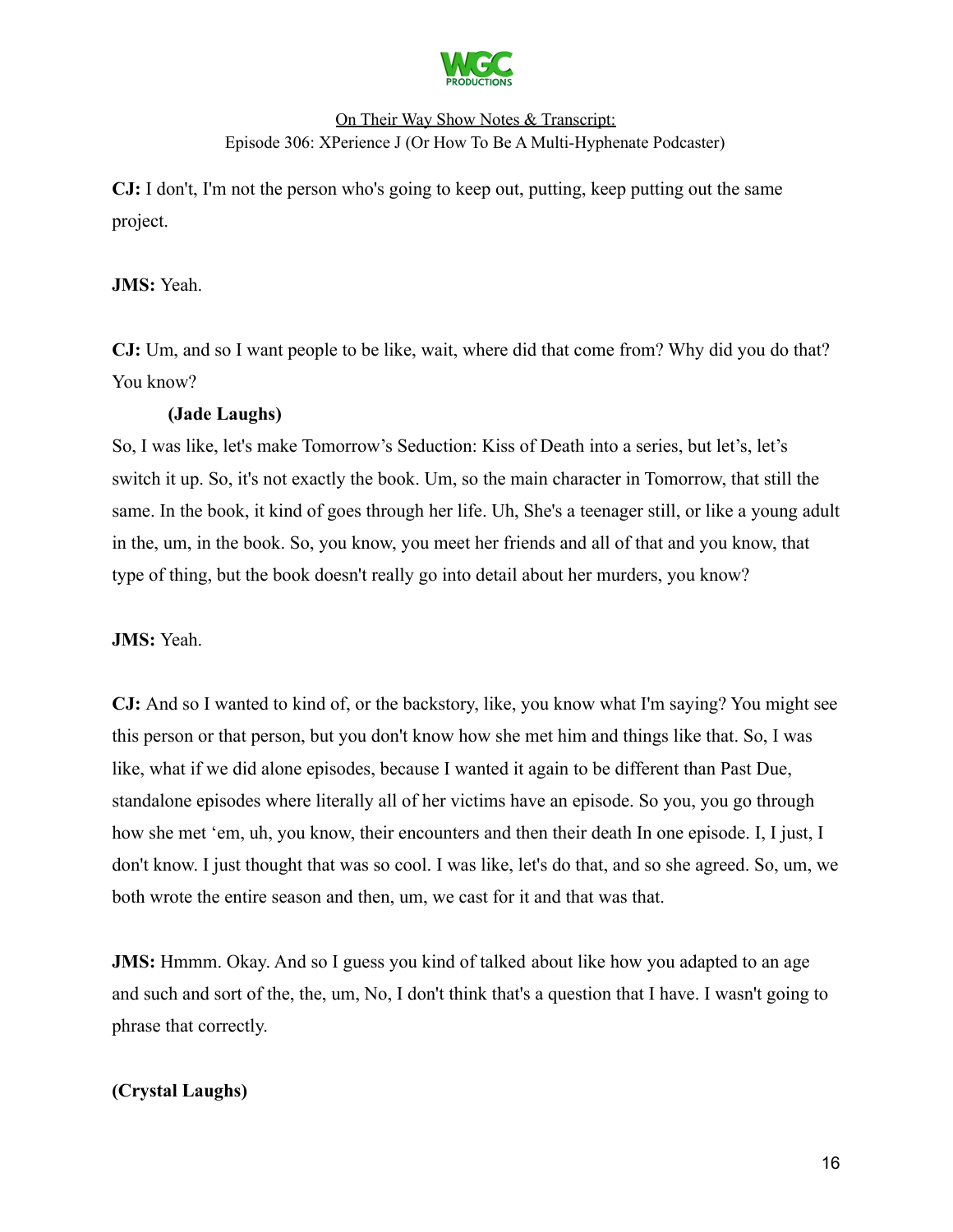

**CJ:** I don't, I'm not the person who's going to keep out, putting, keep putting out the same project.

### **JMS:** Yeah.

**CJ:** Um, and so I want people to be like, wait, where did that come from? Why did you do that? You know?

### **(Jade Laughs)**

So, I was like, let's make Tomorrow's Seduction: Kiss of Death into a series, but let's, let's switch it up. So, it's not exactly the book. Um, so the main character in Tomorrow, that still the same. In the book, it kind of goes through her life. Uh, She's a teenager still, or like a young adult in the, um, in the book. So, you know, you meet her friends and all of that and you know, that type of thing, but the book doesn't really go into detail about her murders, you know?

### **JMS:** Yeah.

**CJ:** And so I wanted to kind of, or the backstory, like, you know what I'm saying? You might see this person or that person, but you don't know how she met him and things like that. So, I was like, what if we did alone episodes, because I wanted it again to be different than Past Due, standalone episodes where literally all of her victims have an episode. So you, you go through how she met 'em, uh, you know, their encounters and then their death In one episode. I, I just, I don't know. I just thought that was so cool. I was like, let's do that, and so she agreed. So, um, we both wrote the entire season and then, um, we cast for it and that was that.

**JMS:** Hmmm. Okay. And so I guess you kind of talked about like how you adapted to an age and such and sort of the, the, um, No, I don't think that's a question that I have. I wasn't going to phrase that correctly.

### **(Crystal Laughs)**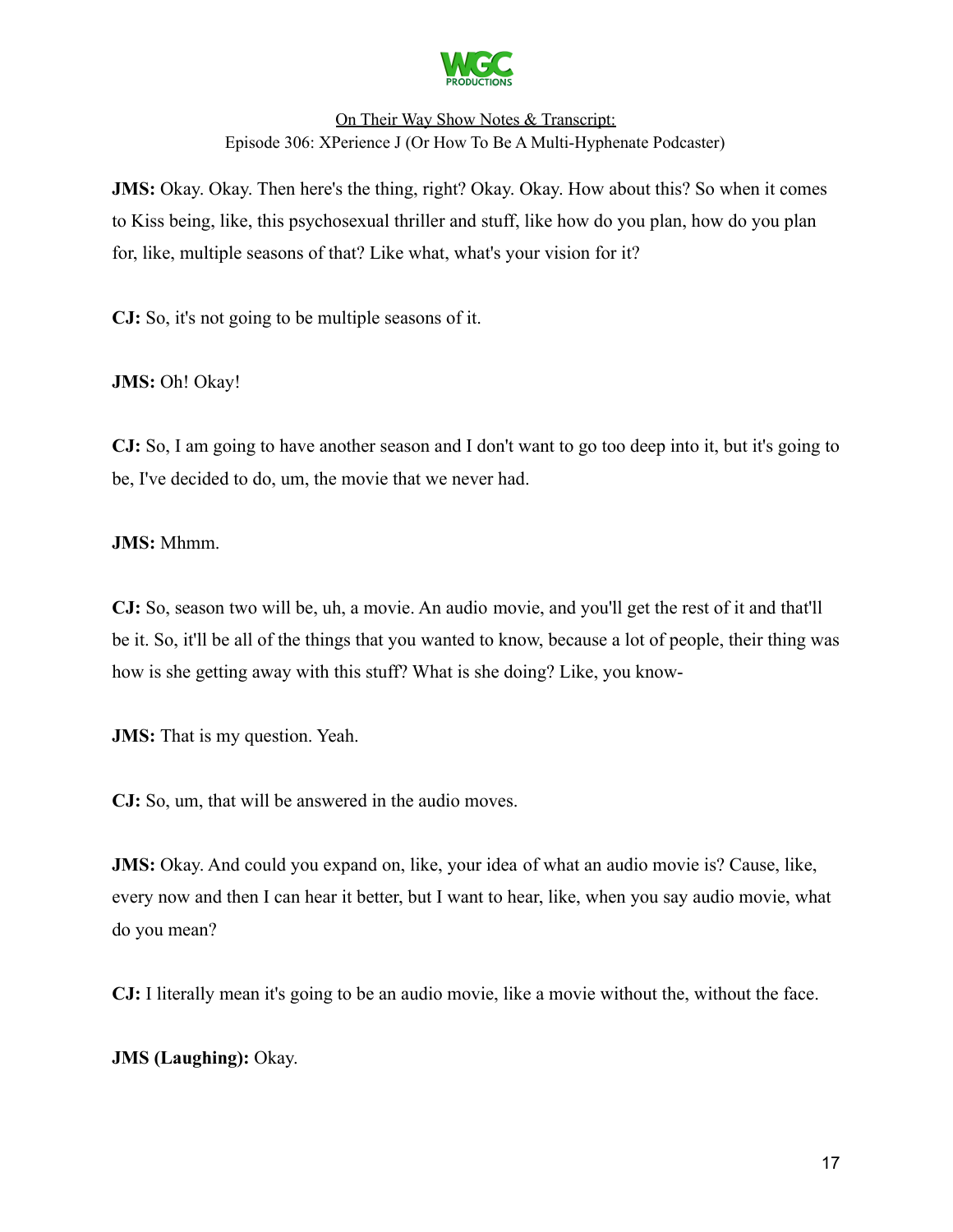

**JMS:** Okay. Okay. Then here's the thing, right? Okay. Okay. How about this? So when it comes to Kiss being, like, this psychosexual thriller and stuff, like how do you plan, how do you plan for, like, multiple seasons of that? Like what, what's your vision for it?

**CJ:** So, it's not going to be multiple seasons of it.

**JMS:** Oh! Okay!

**CJ:** So, I am going to have another season and I don't want to go too deep into it, but it's going to be, I've decided to do, um, the movie that we never had.

**JMS:** Mhmm.

**CJ:** So, season two will be, uh, a movie. An audio movie, and you'll get the rest of it and that'll be it. So, it'll be all of the things that you wanted to know, because a lot of people, their thing was how is she getting away with this stuff? What is she doing? Like, you know-

**JMS:** That is my question. Yeah.

**CJ:** So, um, that will be answered in the audio moves.

**JMS:** Okay. And could you expand on, like, your idea of what an audio movie is? Cause, like, every now and then I can hear it better, but I want to hear, like, when you say audio movie, what do you mean?

**CJ:** I literally mean it's going to be an audio movie, like a movie without the, without the face.

**JMS (Laughing):** Okay.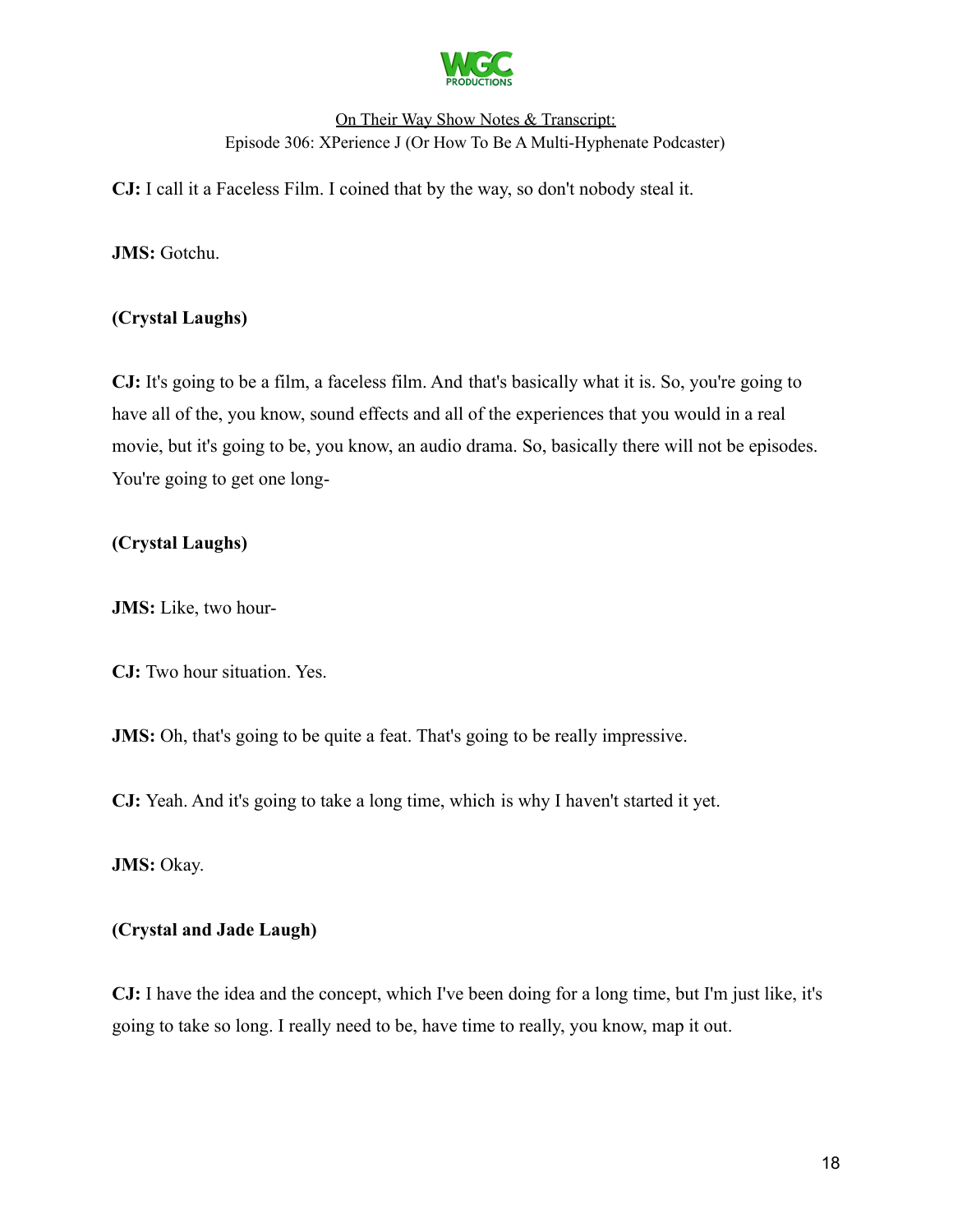

**CJ:** I call it a Faceless Film. I coined that by the way, so don't nobody steal it.

**JMS:** Gotchu.

### **(Crystal Laughs)**

**CJ:** It's going to be a film, a faceless film. And that's basically what it is. So, you're going to have all of the, you know, sound effects and all of the experiences that you would in a real movie, but it's going to be, you know, an audio drama. So, basically there will not be episodes. You're going to get one long-

# **(Crystal Laughs)**

**JMS:** Like, two hour-

**CJ:** Two hour situation. Yes.

**JMS:** Oh, that's going to be quite a feat. That's going to be really impressive.

**CJ:** Yeah. And it's going to take a long time, which is why I haven't started it yet.

**JMS:** Okay.

### **(Crystal and Jade Laugh)**

**CJ:** I have the idea and the concept, which I've been doing for a long time, but I'm just like, it's going to take so long. I really need to be, have time to really, you know, map it out.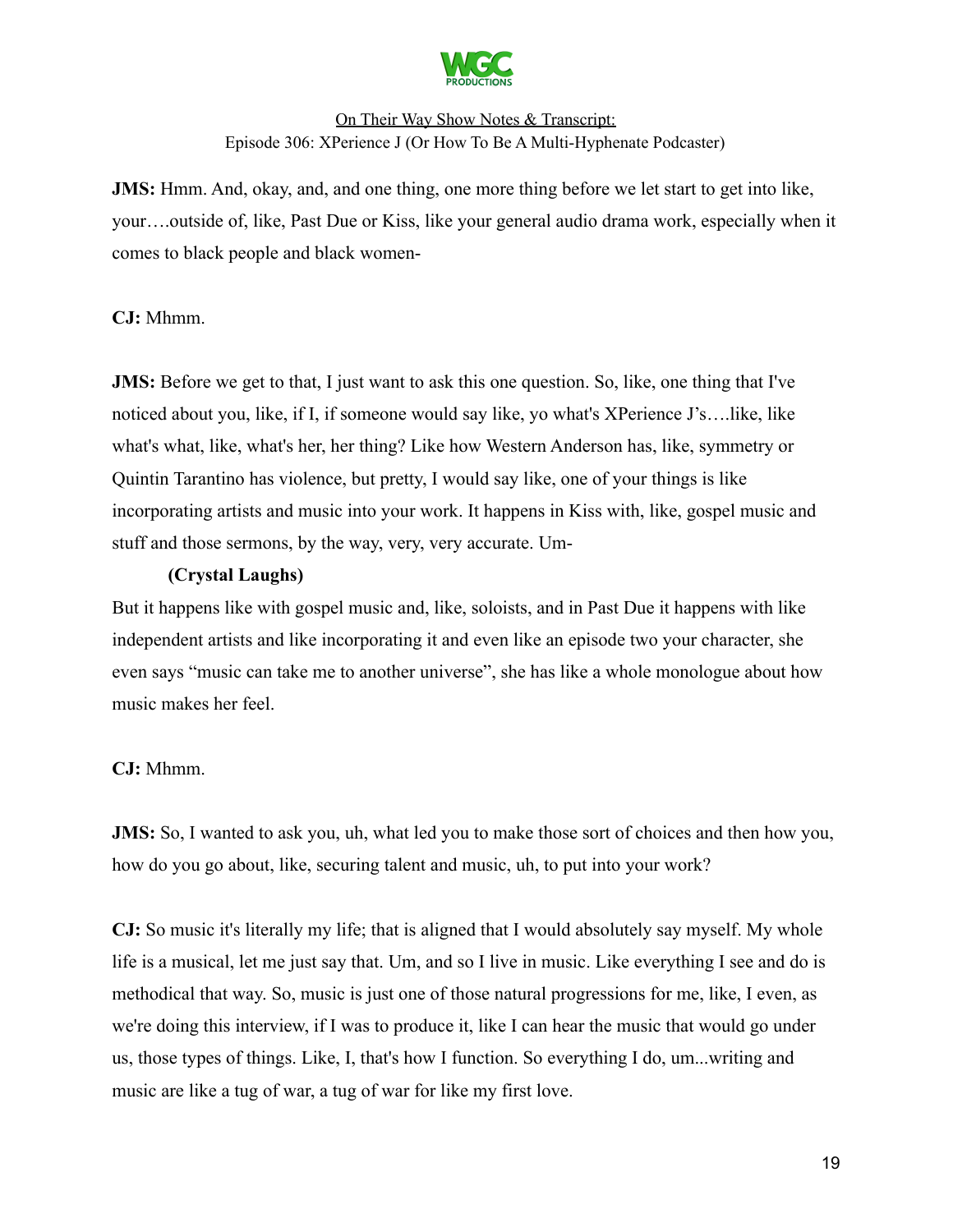

**JMS:** Hmm. And, okay, and, and one thing, one more thing before we let start to get into like, your….outside of, like, Past Due or Kiss, like your general audio drama work, especially when it comes to black people and black women-

### **CJ:** Mhmm.

**JMS:** Before we get to that, I just want to ask this one question. So, like, one thing that I've noticed about you, like, if I, if someone would say like, yo what's XPerience J's….like, like what's what, like, what's her, her thing? Like how Western Anderson has, like, symmetry or Quintin Tarantino has violence, but pretty, I would say like, one of your things is like incorporating artists and music into your work. It happens in Kiss with, like, gospel music and stuff and those sermons, by the way, very, very accurate. Um-

### **(Crystal Laughs)**

But it happens like with gospel music and, like, soloists, and in Past Due it happens with like independent artists and like incorporating it and even like an episode two your character, she even says "music can take me to another universe", she has like a whole monologue about how music makes her feel.

### **CJ:** Mhmm.

**JMS:** So, I wanted to ask you, uh, what led you to make those sort of choices and then how you, how do you go about, like, securing talent and music, uh, to put into your work?

**CJ:** So music it's literally my life; that is aligned that I would absolutely say myself. My whole life is a musical, let me just say that. Um, and so I live in music. Like everything I see and do is methodical that way. So, music is just one of those natural progressions for me, like, I even, as we're doing this interview, if I was to produce it, like I can hear the music that would go under us, those types of things. Like, I, that's how I function. So everything I do, um...writing and music are like a tug of war, a tug of war for like my first love.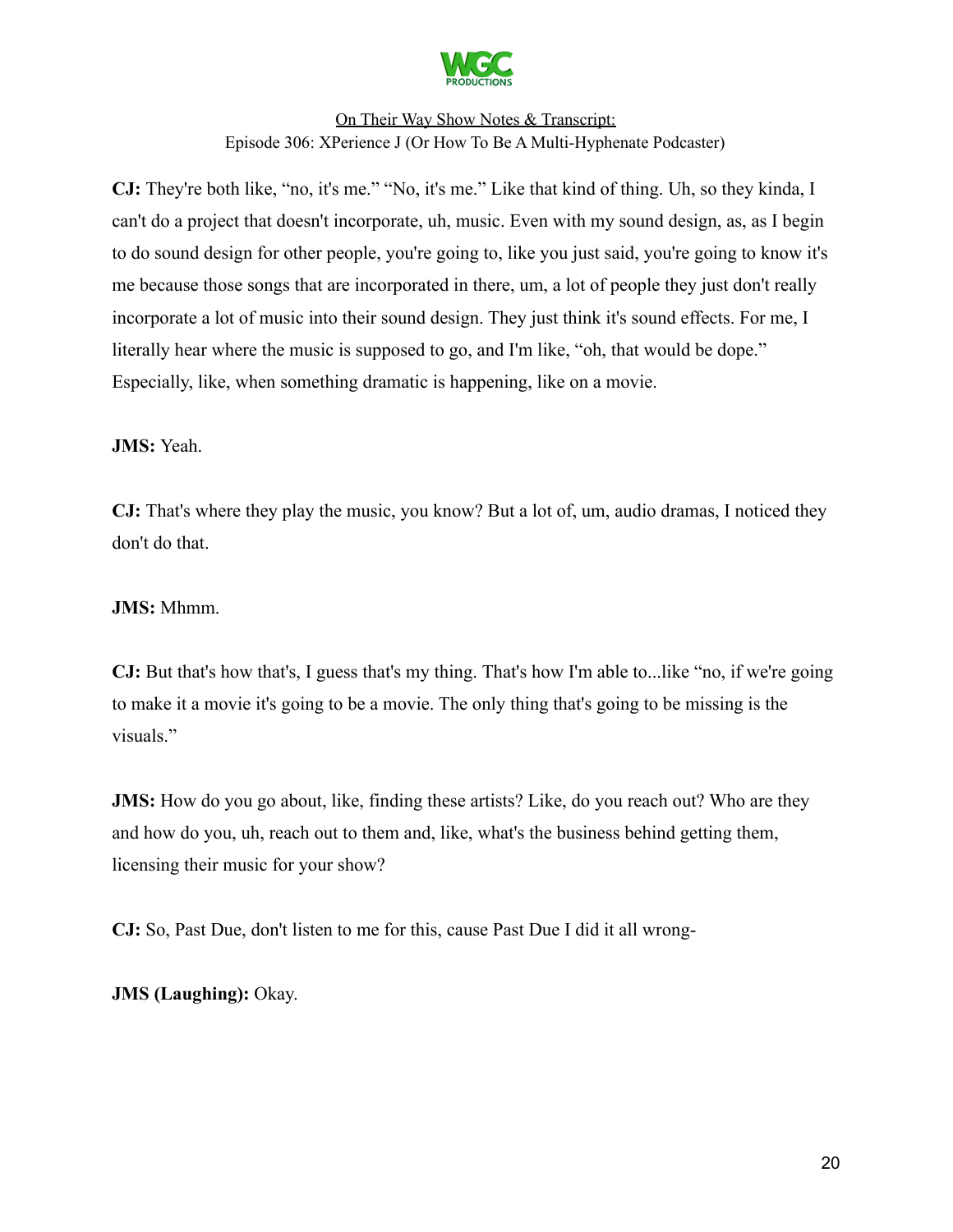

**CJ:** They're both like, "no, it's me." "No, it's me." Like that kind of thing. Uh, so they kinda, I can't do a project that doesn't incorporate, uh, music. Even with my sound design, as, as I begin to do sound design for other people, you're going to, like you just said, you're going to know it's me because those songs that are incorporated in there, um, a lot of people they just don't really incorporate a lot of music into their sound design. They just think it's sound effects. For me, I literally hear where the music is supposed to go, and I'm like, "oh, that would be dope." Especially, like, when something dramatic is happening, like on a movie.

**JMS:** Yeah.

**CJ:** That's where they play the music, you know? But a lot of, um, audio dramas, I noticed they don't do that.

#### **JMS:** Mhmm.

**CJ:** But that's how that's, I guess that's my thing. That's how I'm able to...like "no, if we're going to make it a movie it's going to be a movie. The only thing that's going to be missing is the visuals."

**JMS:** How do you go about, like, finding these artists? Like, do you reach out? Who are they and how do you, uh, reach out to them and, like, what's the business behind getting them, licensing their music for your show?

**CJ:** So, Past Due, don't listen to me for this, cause Past Due I did it all wrong-

**JMS (Laughing):** Okay.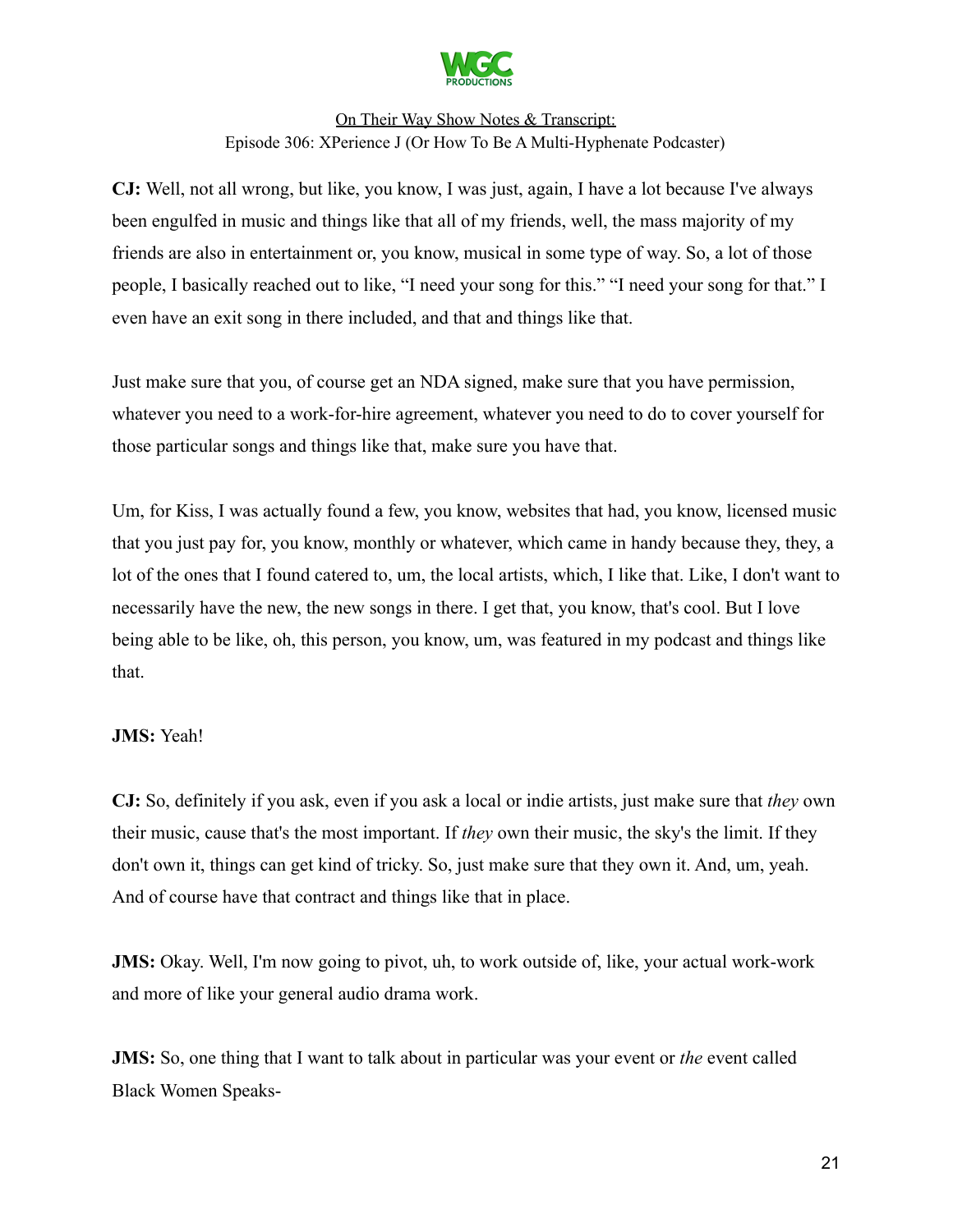

**CJ:** Well, not all wrong, but like, you know, I was just, again, I have a lot because I've always been engulfed in music and things like that all of my friends, well, the mass majority of my friends are also in entertainment or, you know, musical in some type of way. So, a lot of those people, I basically reached out to like, "I need your song for this." "I need your song for that." I even have an exit song in there included, and that and things like that.

Just make sure that you, of course get an NDA signed, make sure that you have permission, whatever you need to a work-for-hire agreement, whatever you need to do to cover yourself for those particular songs and things like that, make sure you have that.

Um, for Kiss, I was actually found a few, you know, websites that had, you know, licensed music that you just pay for, you know, monthly or whatever, which came in handy because they, they, a lot of the ones that I found catered to, um, the local artists, which, I like that. Like, I don't want to necessarily have the new, the new songs in there. I get that, you know, that's cool. But I love being able to be like, oh, this person, you know, um, was featured in my podcast and things like that.

### **JMS:** Yeah!

**CJ:** So, definitely if you ask, even if you ask a local or indie artists, just make sure that *they* own their music, cause that's the most important. If *they* own their music, the sky's the limit. If they don't own it, things can get kind of tricky. So, just make sure that they own it. And, um, yeah. And of course have that contract and things like that in place.

**JMS:** Okay. Well, I'm now going to pivot, uh, to work outside of, like, your actual work-work and more of like your general audio drama work.

**JMS:** So, one thing that I want to talk about in particular was your event or *the* event called Black Women Speaks-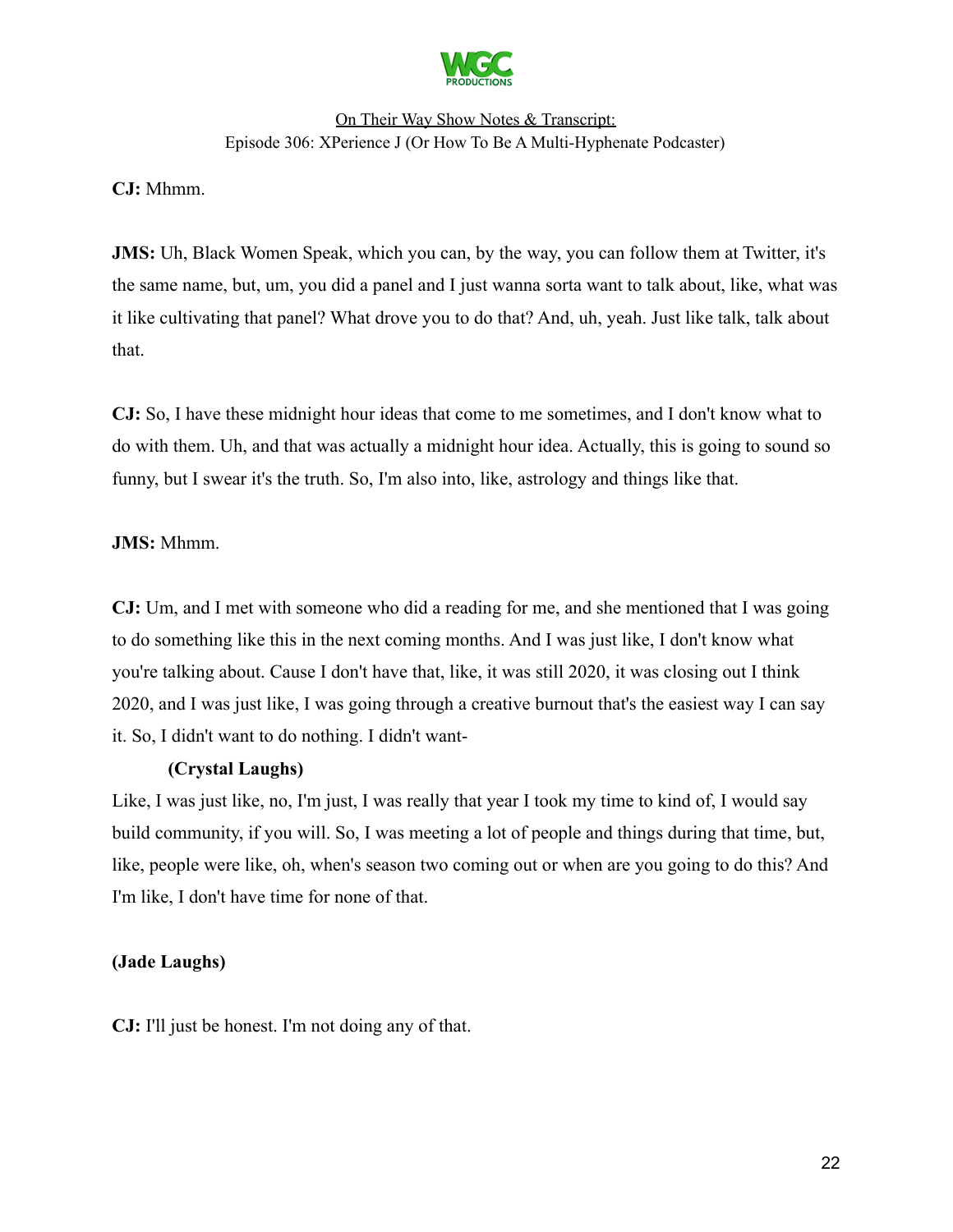

**CJ:** Mhmm.

**JMS:** Uh, Black Women Speak, which you can, by the way, you can follow them at Twitter, it's the same name, but, um, you did a panel and I just wanna sorta want to talk about, like, what was it like cultivating that panel? What drove you to do that? And, uh, yeah. Just like talk, talk about that.

**CJ:** So, I have these midnight hour ideas that come to me sometimes, and I don't know what to do with them. Uh, and that was actually a midnight hour idea. Actually, this is going to sound so funny, but I swear it's the truth. So, I'm also into, like, astrology and things like that.

### **JMS:** Mhmm.

**CJ:** Um, and I met with someone who did a reading for me, and she mentioned that I was going to do something like this in the next coming months. And I was just like, I don't know what you're talking about. Cause I don't have that, like, it was still 2020, it was closing out I think 2020, and I was just like, I was going through a creative burnout that's the easiest way I can say it. So, I didn't want to do nothing. I didn't want-

### **(Crystal Laughs)**

Like, I was just like, no, I'm just, I was really that year I took my time to kind of, I would say build community, if you will. So, I was meeting a lot of people and things during that time, but, like, people were like, oh, when's season two coming out or when are you going to do this? And I'm like, I don't have time for none of that.

### **(Jade Laughs)**

**CJ:** I'll just be honest. I'm not doing any of that.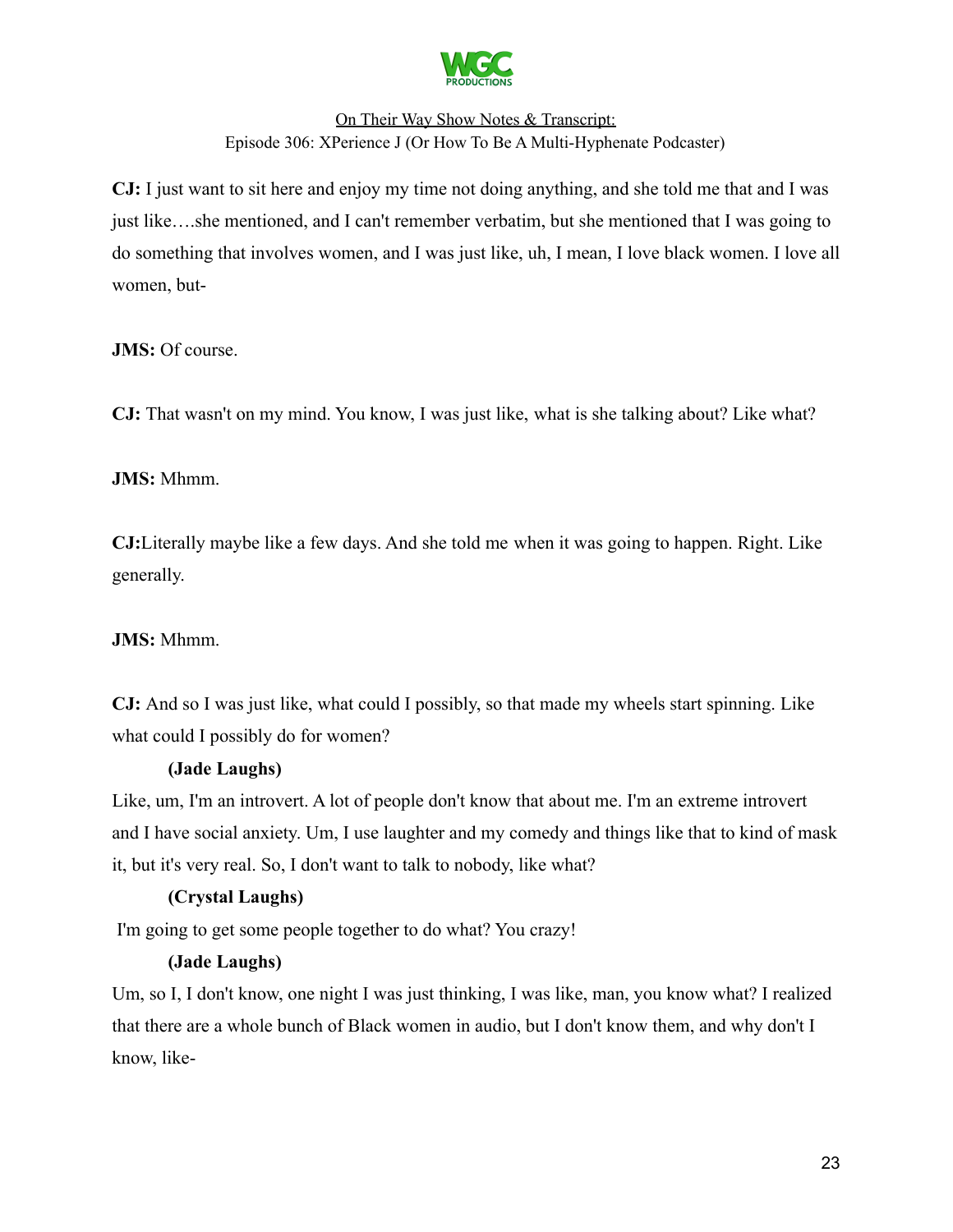

**CJ:** I just want to sit here and enjoy my time not doing anything, and she told me that and I was just like….she mentioned, and I can't remember verbatim, but she mentioned that I was going to do something that involves women, and I was just like, uh, I mean, I love black women. I love all women, but-

**JMS:** Of course.

**CJ:** That wasn't on my mind. You know, I was just like, what is she talking about? Like what?

**JMS:** Mhmm.

**CJ:**Literally maybe like a few days. And she told me when it was going to happen. Right. Like generally.

### **JMS:** Mhmm.

**CJ:** And so I was just like, what could I possibly, so that made my wheels start spinning. Like what could I possibly do for women?

### **(Jade Laughs)**

Like, um, I'm an introvert. A lot of people don't know that about me. I'm an extreme introvert and I have social anxiety. Um, I use laughter and my comedy and things like that to kind of mask it, but it's very real. So, I don't want to talk to nobody, like what?

### **(Crystal Laughs)**

I'm going to get some people together to do what? You crazy!

### **(Jade Laughs)**

Um, so I, I don't know, one night I was just thinking, I was like, man, you know what? I realized that there are a whole bunch of Black women in audio, but I don't know them, and why don't I know, like-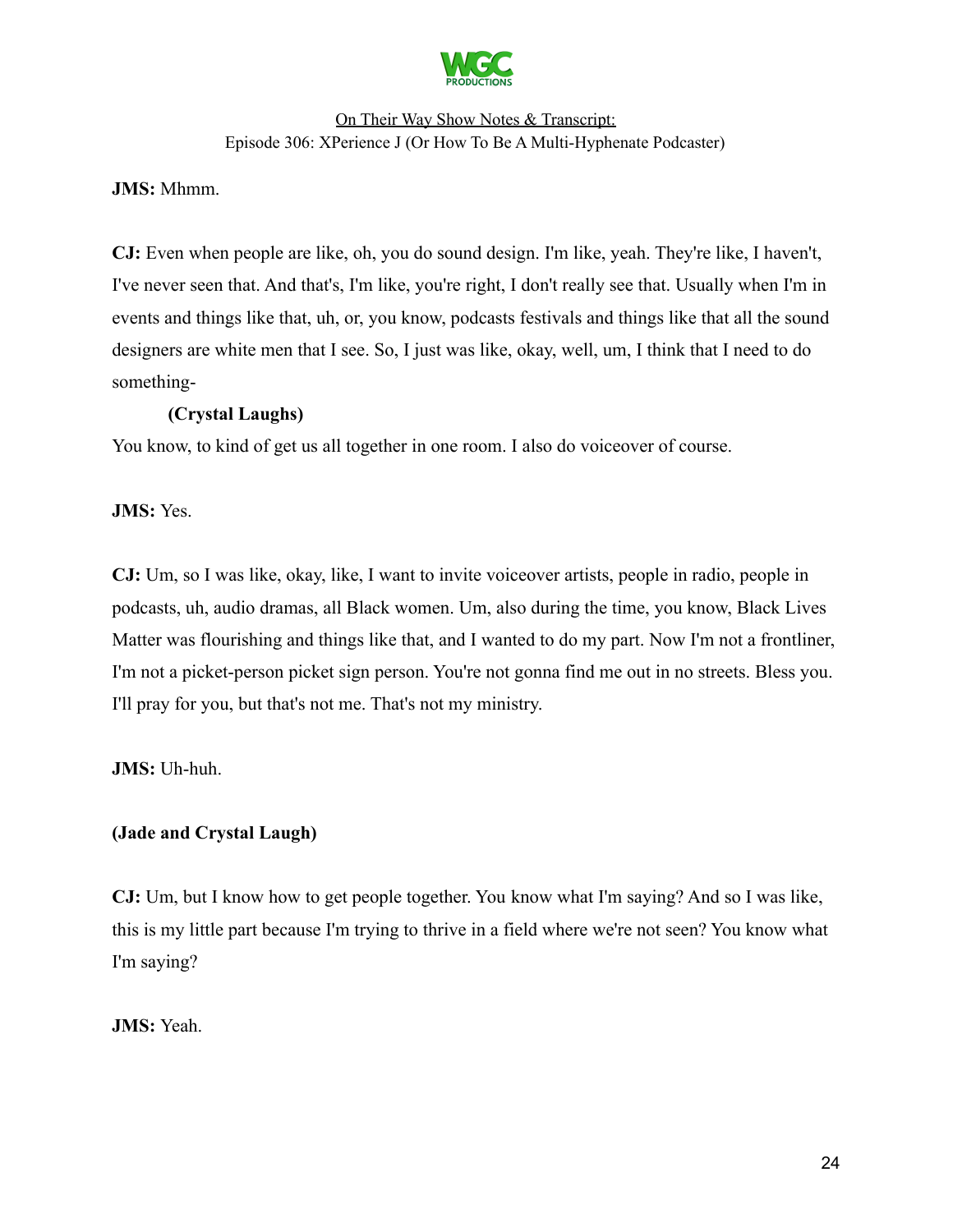

### **JMS:** Mhmm.

**CJ:** Even when people are like, oh, you do sound design. I'm like, yeah. They're like, I haven't, I've never seen that. And that's, I'm like, you're right, I don't really see that. Usually when I'm in events and things like that, uh, or, you know, podcasts festivals and things like that all the sound designers are white men that I see. So, I just was like, okay, well, um, I think that I need to do something-

### **(Crystal Laughs)**

You know, to kind of get us all together in one room. I also do voiceover of course.

**JMS:** Yes.

**CJ:** Um, so I was like, okay, like, I want to invite voiceover artists, people in radio, people in podcasts, uh, audio dramas, all Black women. Um, also during the time, you know, Black Lives Matter was flourishing and things like that, and I wanted to do my part. Now I'm not a frontliner, I'm not a picket-person picket sign person. You're not gonna find me out in no streets. Bless you. I'll pray for you, but that's not me. That's not my ministry.

**JMS:** Uh-huh.

# **(Jade and Crystal Laugh)**

**CJ:** Um, but I know how to get people together. You know what I'm saying? And so I was like, this is my little part because I'm trying to thrive in a field where we're not seen? You know what I'm saying?

**JMS:** Yeah.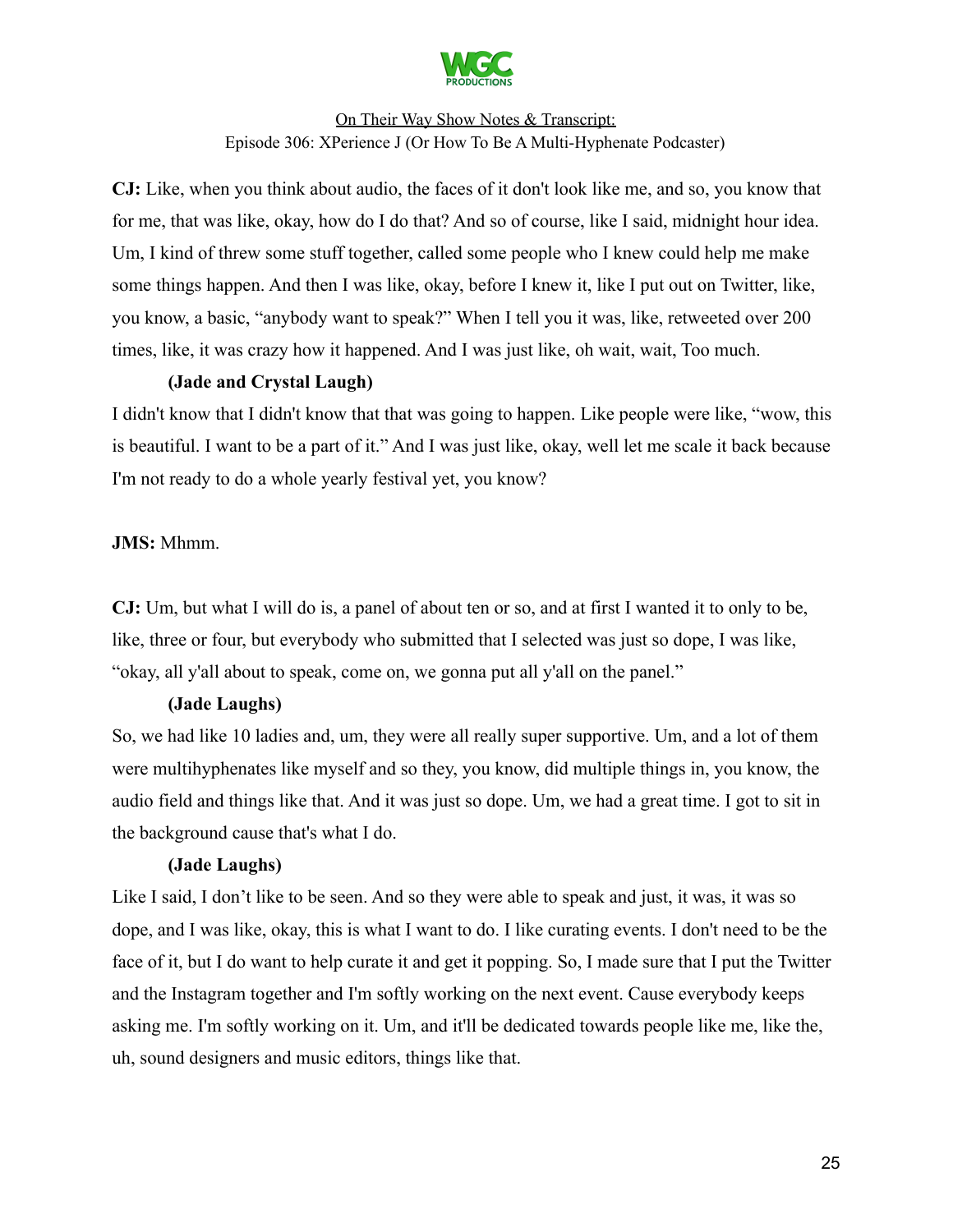

**CJ:** Like, when you think about audio, the faces of it don't look like me, and so, you know that for me, that was like, okay, how do I do that? And so of course, like I said, midnight hour idea. Um, I kind of threw some stuff together, called some people who I knew could help me make some things happen. And then I was like, okay, before I knew it, like I put out on Twitter, like, you know, a basic, "anybody want to speak?" When I tell you it was, like, retweeted over 200 times, like, it was crazy how it happened. And I was just like, oh wait, wait, Too much.

### **(Jade and Crystal Laugh)**

I didn't know that I didn't know that that was going to happen. Like people were like, "wow, this is beautiful. I want to be a part of it." And I was just like, okay, well let me scale it back because I'm not ready to do a whole yearly festival yet, you know?

### **JMS:** Mhmm.

**CJ:** Um, but what I will do is, a panel of about ten or so, and at first I wanted it to only to be, like, three or four, but everybody who submitted that I selected was just so dope, I was like, "okay, all y'all about to speak, come on, we gonna put all y'all on the panel."

### **(Jade Laughs)**

So, we had like 10 ladies and, um, they were all really super supportive. Um, and a lot of them were multihyphenates like myself and so they, you know, did multiple things in, you know, the audio field and things like that. And it was just so dope. Um, we had a great time. I got to sit in the background cause that's what I do.

### **(Jade Laughs)**

Like I said, I don't like to be seen. And so they were able to speak and just, it was, it was so dope, and I was like, okay, this is what I want to do. I like curating events. I don't need to be the face of it, but I do want to help curate it and get it popping. So, I made sure that I put the Twitter and the Instagram together and I'm softly working on the next event. Cause everybody keeps asking me. I'm softly working on it. Um, and it'll be dedicated towards people like me, like the, uh, sound designers and music editors, things like that.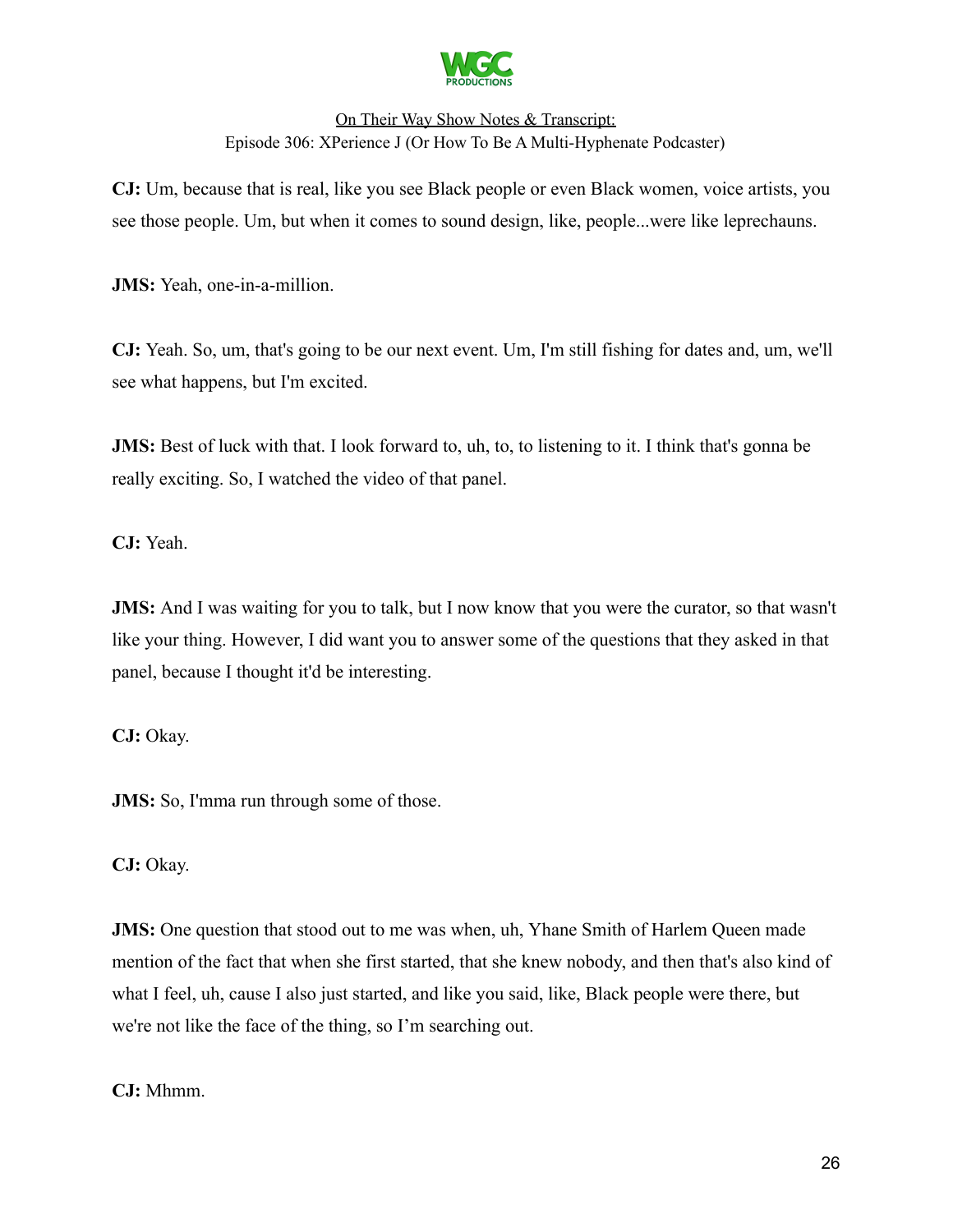

**CJ:** Um, because that is real, like you see Black people or even Black women, voice artists, you see those people. Um, but when it comes to sound design, like, people...were like leprechauns.

**JMS:** Yeah, one-in-a-million.

**CJ:** Yeah. So, um, that's going to be our next event. Um, I'm still fishing for dates and, um, we'll see what happens, but I'm excited.

**JMS:** Best of luck with that. I look forward to, uh, to, to listening to it. I think that's gonna be really exciting. So, I watched the video of that panel.

**CJ:** Yeah.

**JMS:** And I was waiting for you to talk, but I now know that you were the curator, so that wasn't like your thing. However, I did want you to answer some of the questions that they asked in that panel, because I thought it'd be interesting.

**CJ:** Okay.

**JMS:** So, I'mma run through some of those.

**CJ:** Okay.

**JMS:** One question that stood out to me was when, uh, Yhane Smith of Harlem Queen made mention of the fact that when she first started, that she knew nobody, and then that's also kind of what I feel, uh, cause I also just started, and like you said, like, Black people were there, but we're not like the face of the thing, so I'm searching out.

**CJ:** Mhmm.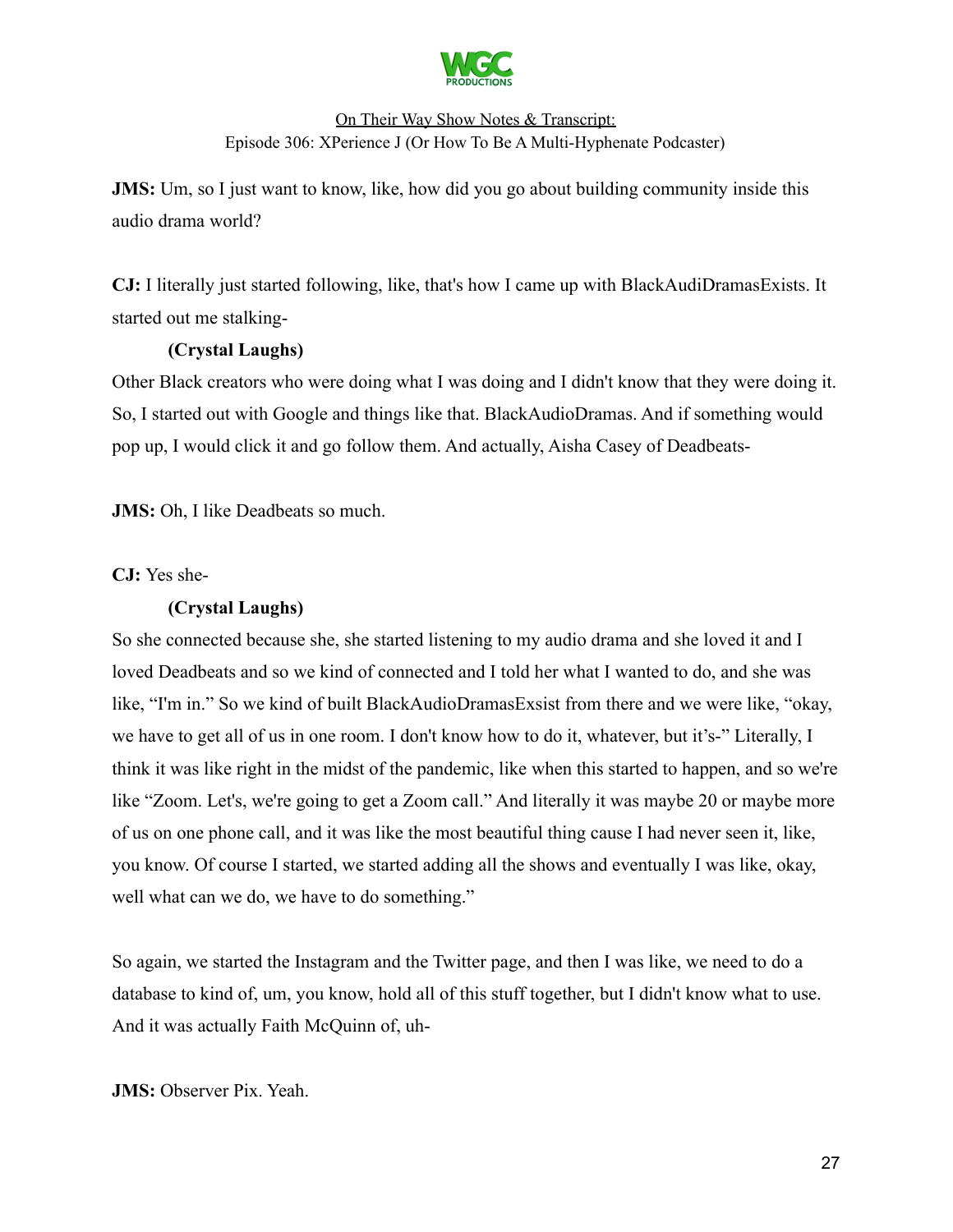

**JMS:** Um, so I just want to know, like, how did you go about building community inside this audio drama world?

**CJ:** I literally just started following, like, that's how I came up with BlackAudiDramasExists. It started out me stalking-

### **(Crystal Laughs)**

Other Black creators who were doing what I was doing and I didn't know that they were doing it. So, I started out with Google and things like that. BlackAudioDramas. And if something would pop up, I would click it and go follow them. And actually, Aisha Casey of Deadbeats-

**JMS:** Oh, I like Deadbeats so much.

**CJ:** Yes she-

### **(Crystal Laughs)**

So she connected because she, she started listening to my audio drama and she loved it and I loved Deadbeats and so we kind of connected and I told her what I wanted to do, and she was like, "I'm in." So we kind of built BlackAudioDramasExsist from there and we were like, "okay, we have to get all of us in one room. I don't know how to do it, whatever, but it's-" Literally, I think it was like right in the midst of the pandemic, like when this started to happen, and so we're like "Zoom. Let's, we're going to get a Zoom call." And literally it was maybe 20 or maybe more of us on one phone call, and it was like the most beautiful thing cause I had never seen it, like, you know. Of course I started, we started adding all the shows and eventually I was like, okay, well what can we do, we have to do something."

So again, we started the Instagram and the Twitter page, and then I was like, we need to do a database to kind of, um, you know, hold all of this stuff together, but I didn't know what to use. And it was actually Faith McQuinn of, uh-

### **JMS:** Observer Pix. Yeah.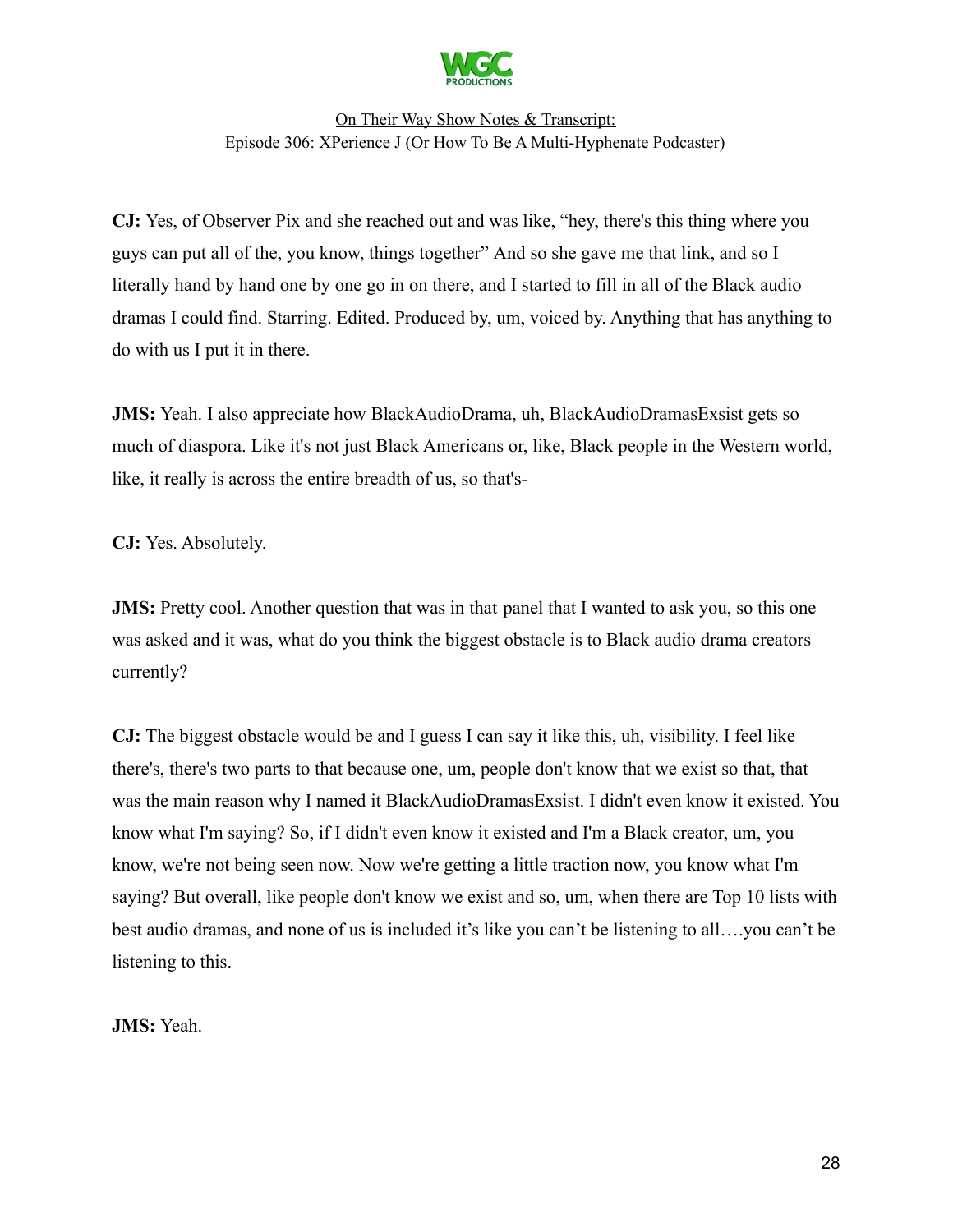

**CJ:** Yes, of Observer Pix and she reached out and was like, "hey, there's this thing where you guys can put all of the, you know, things together" And so she gave me that link, and so I literally hand by hand one by one go in on there, and I started to fill in all of the Black audio dramas I could find. Starring. Edited. Produced by, um, voiced by. Anything that has anything to do with us I put it in there.

**JMS:** Yeah. I also appreciate how BlackAudioDrama, uh, BlackAudioDramasExsist gets so much of diaspora. Like it's not just Black Americans or, like, Black people in the Western world, like, it really is across the entire breadth of us, so that's-

**CJ:** Yes. Absolutely.

**JMS:** Pretty cool. Another question that was in that panel that I wanted to ask you, so this one was asked and it was, what do you think the biggest obstacle is to Black audio drama creators currently?

**CJ:** The biggest obstacle would be and I guess I can say it like this, uh, visibility. I feel like there's, there's two parts to that because one, um, people don't know that we exist so that, that was the main reason why I named it BlackAudioDramasExsist. I didn't even know it existed. You know what I'm saying? So, if I didn't even know it existed and I'm a Black creator, um, you know, we're not being seen now. Now we're getting a little traction now, you know what I'm saying? But overall, like people don't know we exist and so, um, when there are Top 10 lists with best audio dramas, and none of us is included it's like you can't be listening to all….you can't be listening to this.

**JMS:** Yeah.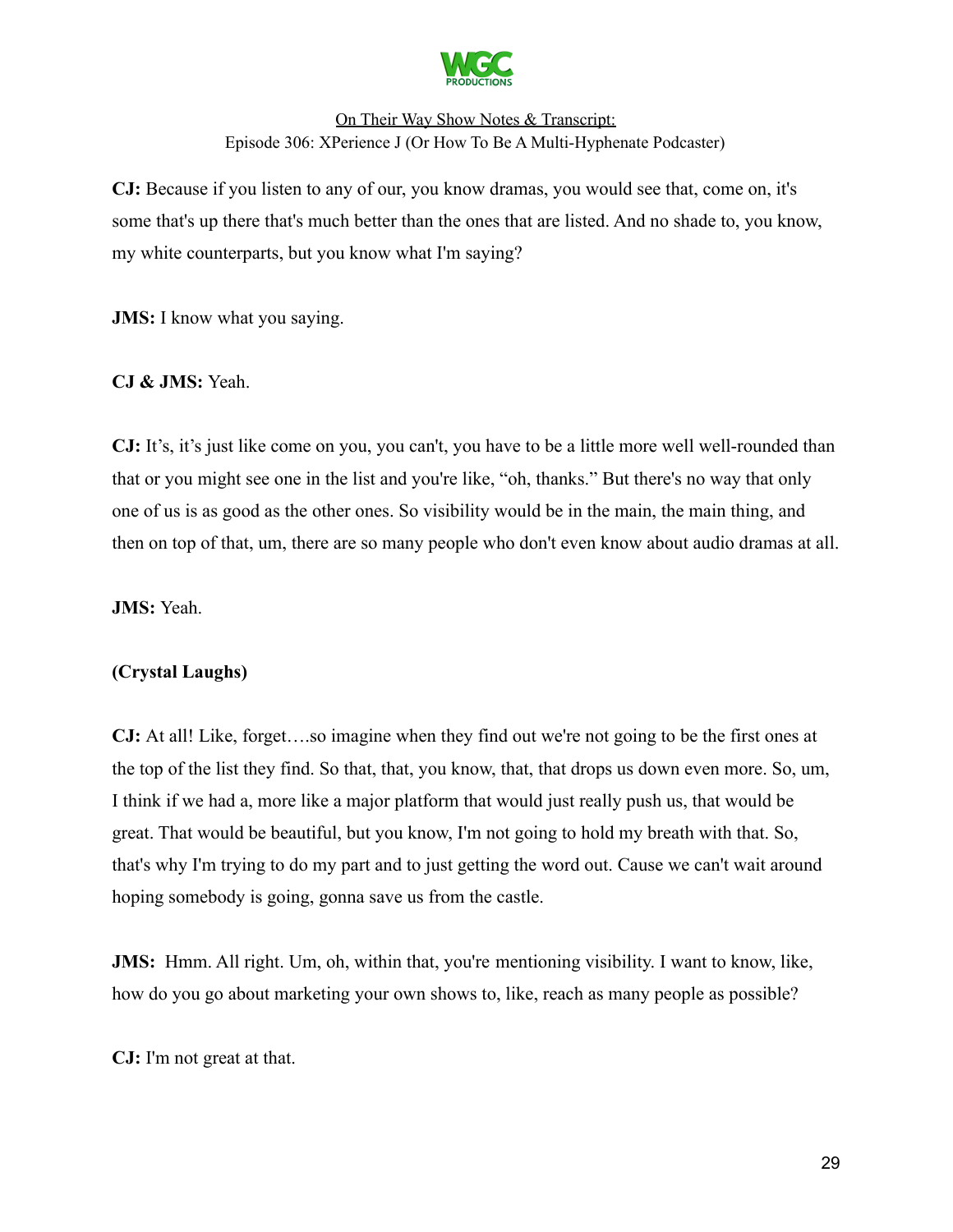

**CJ:** Because if you listen to any of our, you know dramas, you would see that, come on, it's some that's up there that's much better than the ones that are listed. And no shade to, you know, my white counterparts, but you know what I'm saying?

**JMS:** I know what you saying.

### **CJ & JMS:** Yeah.

**CJ:** It's, it's just like come on you, you can't, you have to be a little more well well-rounded than that or you might see one in the list and you're like, "oh, thanks." But there's no way that only one of us is as good as the other ones. So visibility would be in the main, the main thing, and then on top of that, um, there are so many people who don't even know about audio dramas at all.

**JMS:** Yeah.

### **(Crystal Laughs)**

**CJ:** At all! Like, forget….so imagine when they find out we're not going to be the first ones at the top of the list they find. So that, that, you know, that, that drops us down even more. So, um, I think if we had a, more like a major platform that would just really push us, that would be great. That would be beautiful, but you know, I'm not going to hold my breath with that. So, that's why I'm trying to do my part and to just getting the word out. Cause we can't wait around hoping somebody is going, gonna save us from the castle.

**JMS:** Hmm. All right. Um, oh, within that, you're mentioning visibility. I want to know, like, how do you go about marketing your own shows to, like, reach as many people as possible?

**CJ:** I'm not great at that.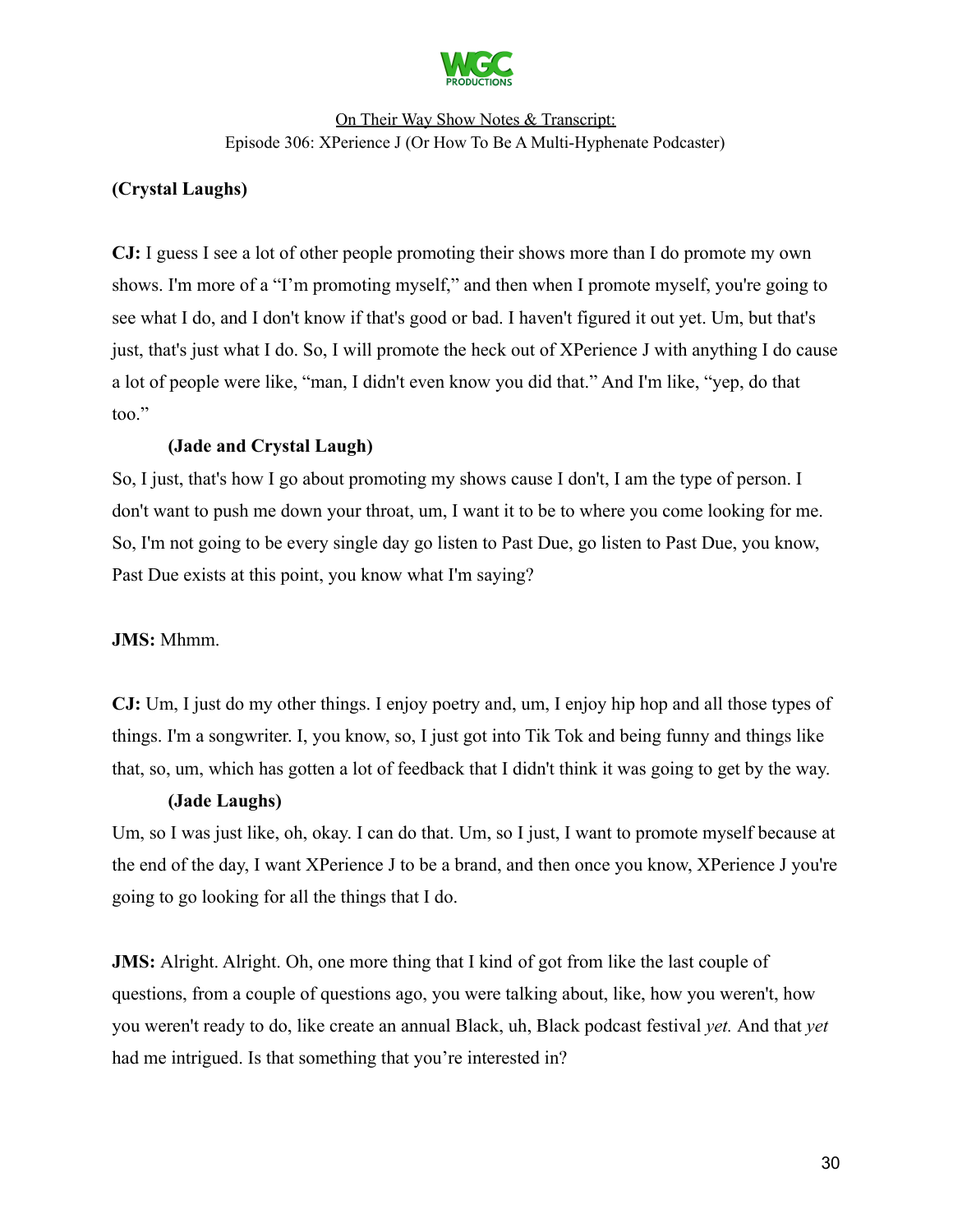

# **(Crystal Laughs)**

**CJ:** I guess I see a lot of other people promoting their shows more than I do promote my own shows. I'm more of a "I'm promoting myself," and then when I promote myself, you're going to see what I do, and I don't know if that's good or bad. I haven't figured it out yet. Um, but that's just, that's just what I do. So, I will promote the heck out of XPerience J with anything I do cause a lot of people were like, "man, I didn't even know you did that." And I'm like, "yep, do that too."

#### **(Jade and Crystal Laugh)**

So, I just, that's how I go about promoting my shows cause I don't, I am the type of person. I don't want to push me down your throat, um, I want it to be to where you come looking for me. So, I'm not going to be every single day go listen to Past Due, go listen to Past Due, you know, Past Due exists at this point, you know what I'm saying?

#### **JMS:** Mhmm.

**CJ:** Um, I just do my other things. I enjoy poetry and, um, I enjoy hip hop and all those types of things. I'm a songwriter. I, you know, so, I just got into Tik Tok and being funny and things like that, so, um, which has gotten a lot of feedback that I didn't think it was going to get by the way.

#### **(Jade Laughs)**

Um, so I was just like, oh, okay. I can do that. Um, so I just, I want to promote myself because at the end of the day, I want XPerience J to be a brand, and then once you know, XPerience J you're going to go looking for all the things that I do.

**JMS:** Alright. Alright. Oh, one more thing that I kind of got from like the last couple of questions, from a couple of questions ago, you were talking about, like, how you weren't, how you weren't ready to do, like create an annual Black, uh, Black podcast festival *yet.* And that *yet* had me intrigued. Is that something that you're interested in?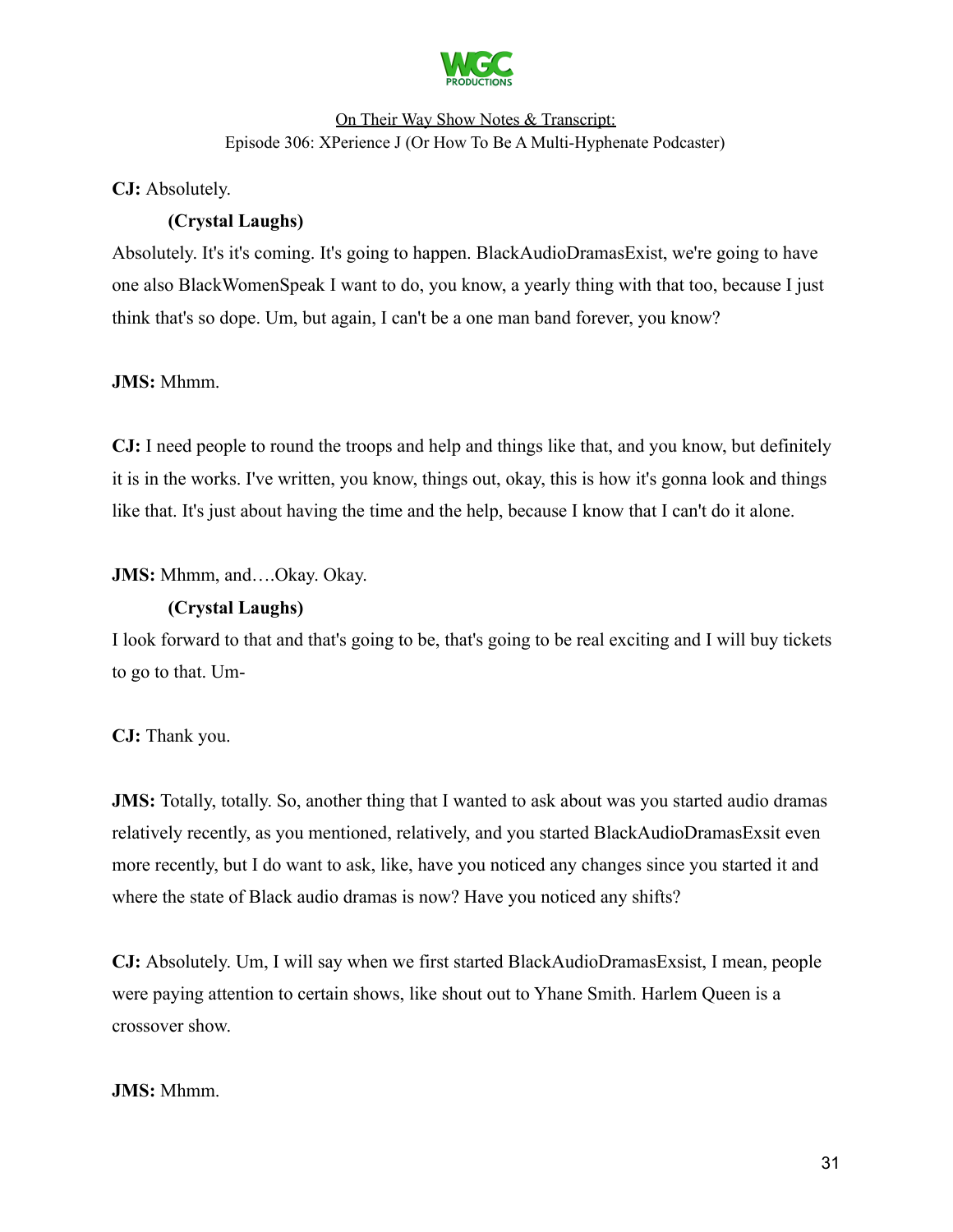

**CJ:** Absolutely.

# **(Crystal Laughs)**

Absolutely. It's it's coming. It's going to happen. BlackAudioDramasExist, we're going to have one also BlackWomenSpeak I want to do, you know, a yearly thing with that too, because I just think that's so dope. Um, but again, I can't be a one man band forever, you know?

### **JMS:** Mhmm.

**CJ:** I need people to round the troops and help and things like that, and you know, but definitely it is in the works. I've written, you know, things out, okay, this is how it's gonna look and things like that. It's just about having the time and the help, because I know that I can't do it alone.

**JMS:** Mhmm, and….Okay. Okay.

### **(Crystal Laughs)**

I look forward to that and that's going to be, that's going to be real exciting and I will buy tickets to go to that. Um-

**CJ:** Thank you.

**JMS:** Totally, totally. So, another thing that I wanted to ask about was you started audio dramas relatively recently, as you mentioned, relatively, and you started BlackAudioDramasExsit even more recently, but I do want to ask, like, have you noticed any changes since you started it and where the state of Black audio dramas is now? Have you noticed any shifts?

**CJ:** Absolutely. Um, I will say when we first started BlackAudioDramasExsist, I mean, people were paying attention to certain shows, like shout out to Yhane Smith. Harlem Queen is a crossover show.

### **JMS:** Mhmm.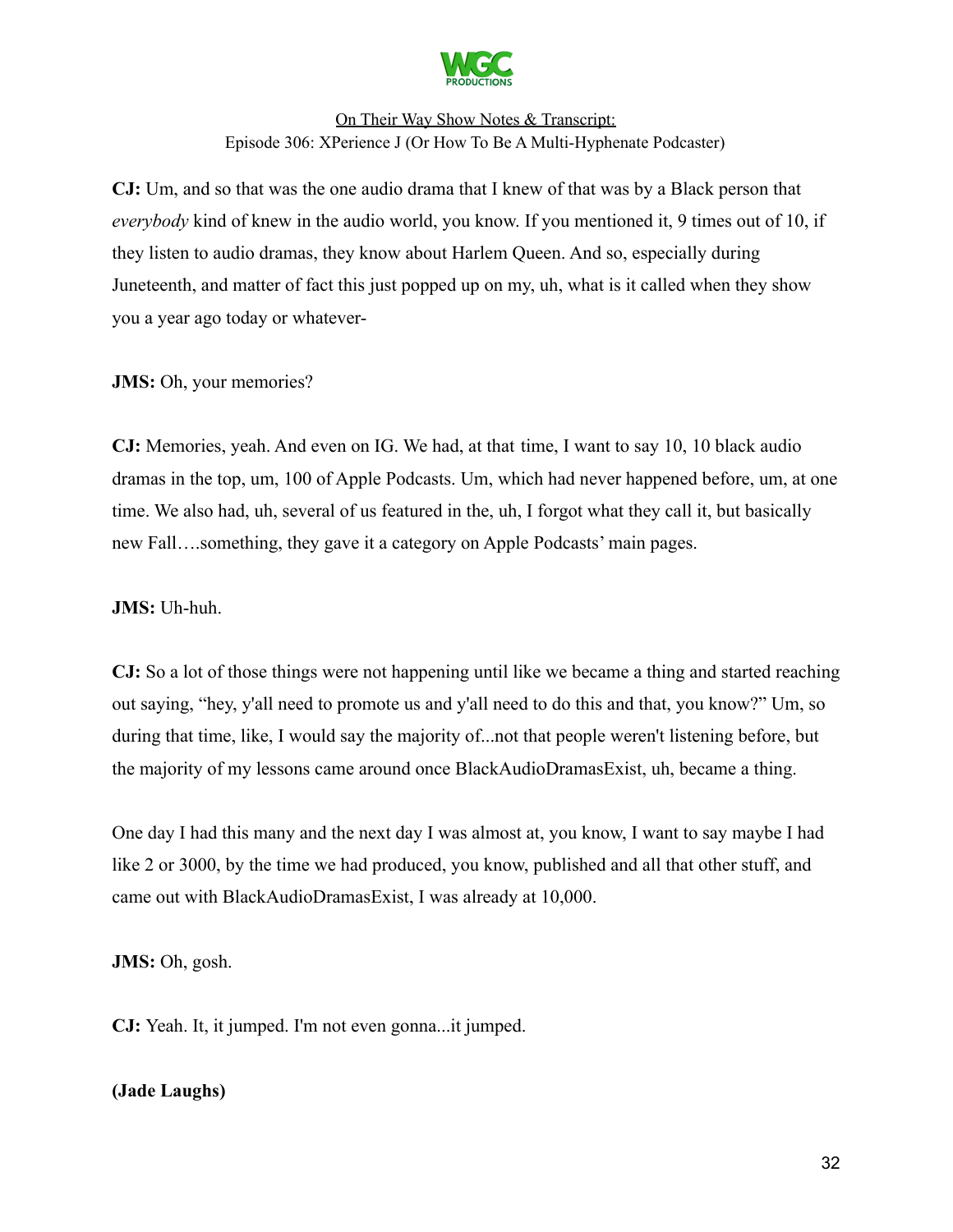

**CJ:** Um, and so that was the one audio drama that I knew of that was by a Black person that *everybody* kind of knew in the audio world, you know. If you mentioned it, 9 times out of 10, if they listen to audio dramas, they know about Harlem Queen. And so, especially during Juneteenth, and matter of fact this just popped up on my, uh, what is it called when they show you a year ago today or whatever-

### **JMS:** Oh, your memories?

**CJ:** Memories, yeah. And even on IG. We had, at that time, I want to say 10, 10 black audio dramas in the top, um, 100 of Apple Podcasts. Um, which had never happened before, um, at one time. We also had, uh, several of us featured in the, uh, I forgot what they call it, but basically new Fall….something, they gave it a category on Apple Podcasts' main pages.

**JMS:** Uh-huh.

**CJ:** So a lot of those things were not happening until like we became a thing and started reaching out saying, "hey, y'all need to promote us and y'all need to do this and that, you know?" Um, so during that time, like, I would say the majority of...not that people weren't listening before, but the majority of my lessons came around once BlackAudioDramasExist, uh, became a thing.

One day I had this many and the next day I was almost at, you know, I want to say maybe I had like 2 or 3000, by the time we had produced, you know, published and all that other stuff, and came out with BlackAudioDramasExist, I was already at 10,000.

**JMS:** Oh, gosh.

**CJ:** Yeah. It, it jumped. I'm not even gonna...it jumped.

### **(Jade Laughs)**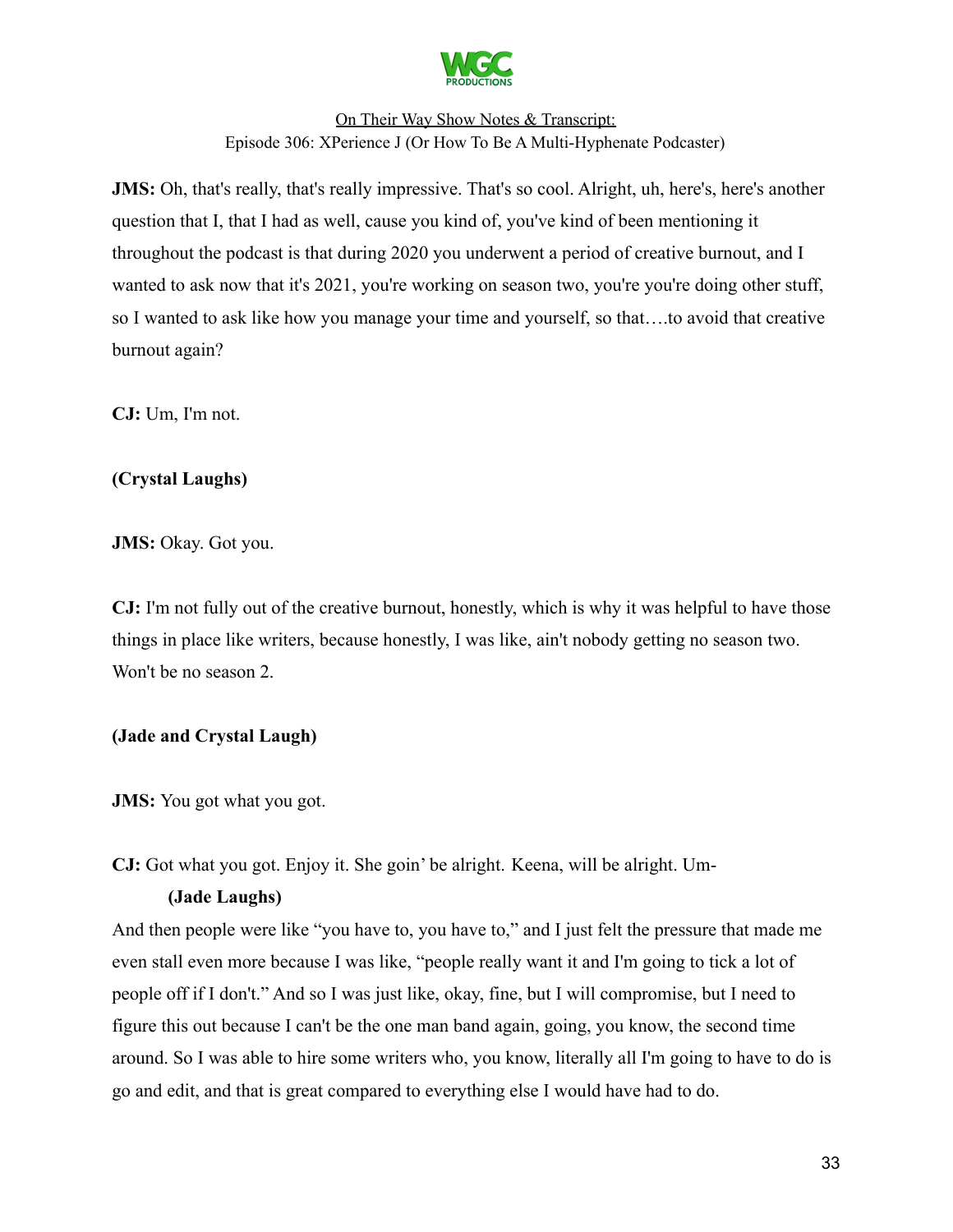

**JMS:** Oh, that's really, that's really impressive. That's so cool. Alright, uh, here's, here's another question that I, that I had as well, cause you kind of, you've kind of been mentioning it throughout the podcast is that during 2020 you underwent a period of creative burnout, and I wanted to ask now that it's 2021, you're working on season two, you're you're doing other stuff, so I wanted to ask like how you manage your time and yourself, so that….to avoid that creative burnout again?

**CJ:** Um, I'm not.

# **(Crystal Laughs)**

**JMS:** Okay. Got you.

**CJ:** I'm not fully out of the creative burnout, honestly, which is why it was helpful to have those things in place like writers, because honestly, I was like, ain't nobody getting no season two. Won't be no season 2.

# **(Jade and Crystal Laugh)**

**JMS:** You got what you got.

**CJ:** Got what you got. Enjoy it. She goin' be alright. Keena, will be alright. Um-

### **(Jade Laughs)**

And then people were like "you have to, you have to," and I just felt the pressure that made me even stall even more because I was like, "people really want it and I'm going to tick a lot of people off if I don't." And so I was just like, okay, fine, but I will compromise, but I need to figure this out because I can't be the one man band again, going, you know, the second time around. So I was able to hire some writers who, you know, literally all I'm going to have to do is go and edit, and that is great compared to everything else I would have had to do.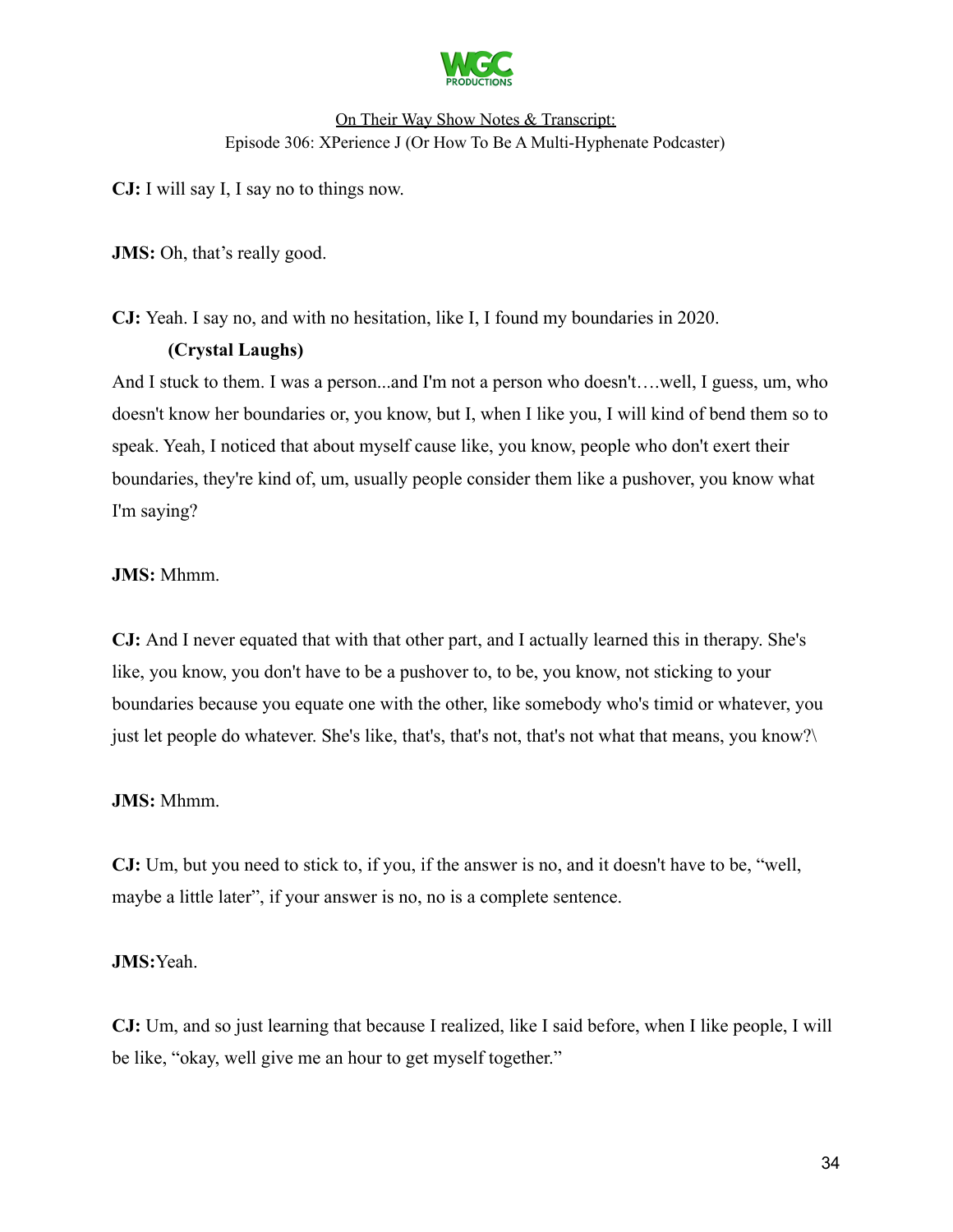

**CJ:** I will say I, I say no to things now.

**JMS:** Oh, that's really good.

**CJ:** Yeah. I say no, and with no hesitation, like I, I found my boundaries in 2020.

### **(Crystal Laughs)**

And I stuck to them. I was a person...and I'm not a person who doesn't….well, I guess, um, who doesn't know her boundaries or, you know, but I, when I like you, I will kind of bend them so to speak. Yeah, I noticed that about myself cause like, you know, people who don't exert their boundaries, they're kind of, um, usually people consider them like a pushover, you know what I'm saying?

### **JMS:** Mhmm.

**CJ:** And I never equated that with that other part, and I actually learned this in therapy. She's like, you know, you don't have to be a pushover to, to be, you know, not sticking to your boundaries because you equate one with the other, like somebody who's timid or whatever, you just let people do whatever. She's like, that's, that's not, that's not what that means, you know?\

### **JMS:** Mhmm.

**CJ:** Um, but you need to stick to, if you, if the answer is no, and it doesn't have to be, "well, maybe a little later", if your answer is no, no is a complete sentence.

### **JMS:**Yeah.

**CJ:** Um, and so just learning that because I realized, like I said before, when I like people, I will be like, "okay, well give me an hour to get myself together."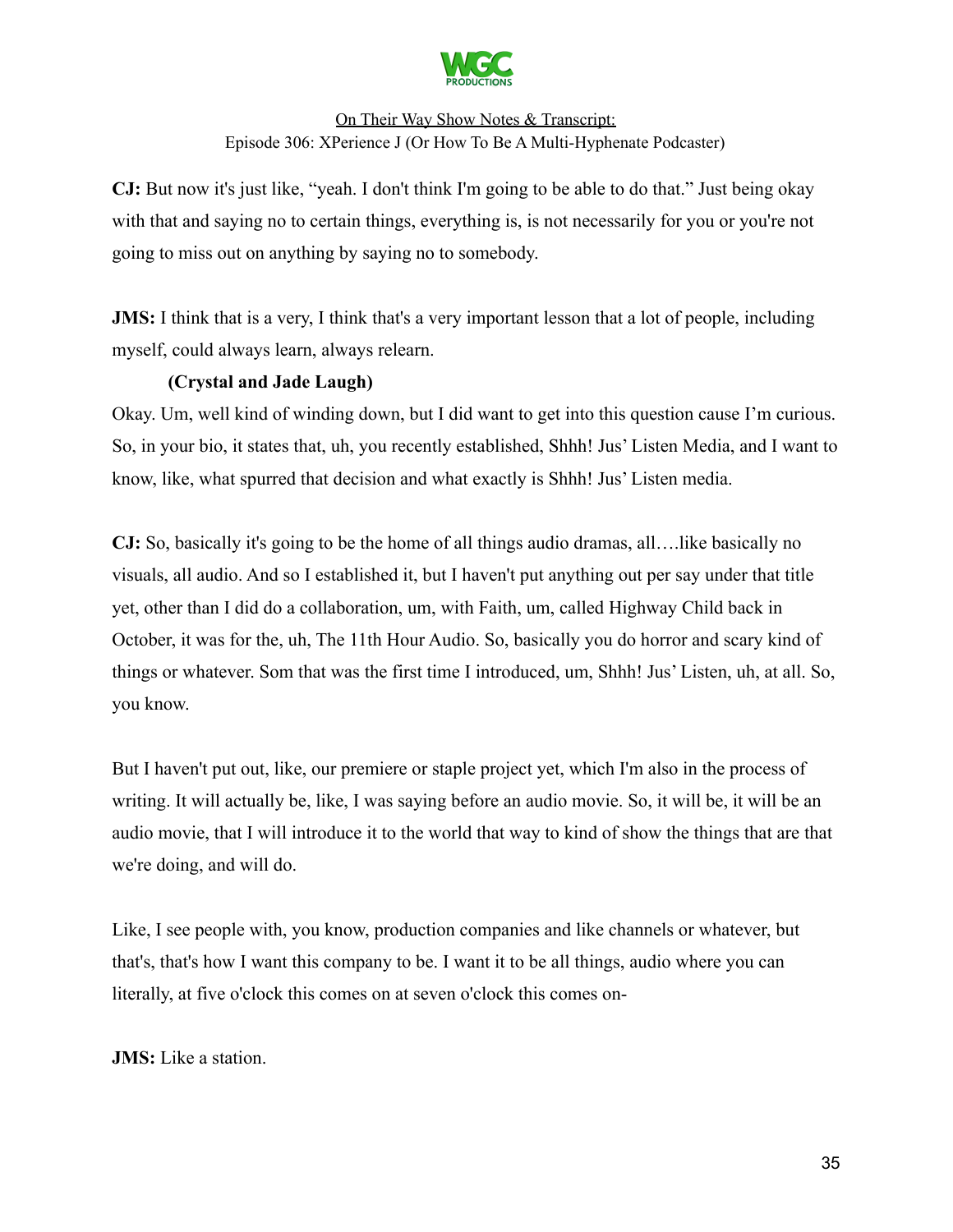

**CJ:** But now it's just like, "yeah. I don't think I'm going to be able to do that." Just being okay with that and saying no to certain things, everything is, is not necessarily for you or you're not going to miss out on anything by saying no to somebody.

**JMS:** I think that is a very, I think that's a very important lesson that a lot of people, including myself, could always learn, always relearn.

### **(Crystal and Jade Laugh)**

Okay. Um, well kind of winding down, but I did want to get into this question cause I'm curious. So, in your bio, it states that, uh, you recently established, Shhh! Jus' Listen Media, and I want to know, like, what spurred that decision and what exactly is Shhh! Jus' Listen media.

**CJ:** So, basically it's going to be the home of all things audio dramas, all….like basically no visuals, all audio. And so I established it, but I haven't put anything out per say under that title yet, other than I did do a collaboration, um, with Faith, um, called Highway Child back in October, it was for the, uh, The 11th Hour Audio. So, basically you do horror and scary kind of things or whatever. Som that was the first time I introduced, um, Shhh! Jus' Listen, uh, at all. So, you know.

But I haven't put out, like, our premiere or staple project yet, which I'm also in the process of writing. It will actually be, like, I was saying before an audio movie. So, it will be, it will be an audio movie, that I will introduce it to the world that way to kind of show the things that are that we're doing, and will do.

Like, I see people with, you know, production companies and like channels or whatever, but that's, that's how I want this company to be. I want it to be all things, audio where you can literally, at five o'clock this comes on at seven o'clock this comes on-

**JMS:** Like a station.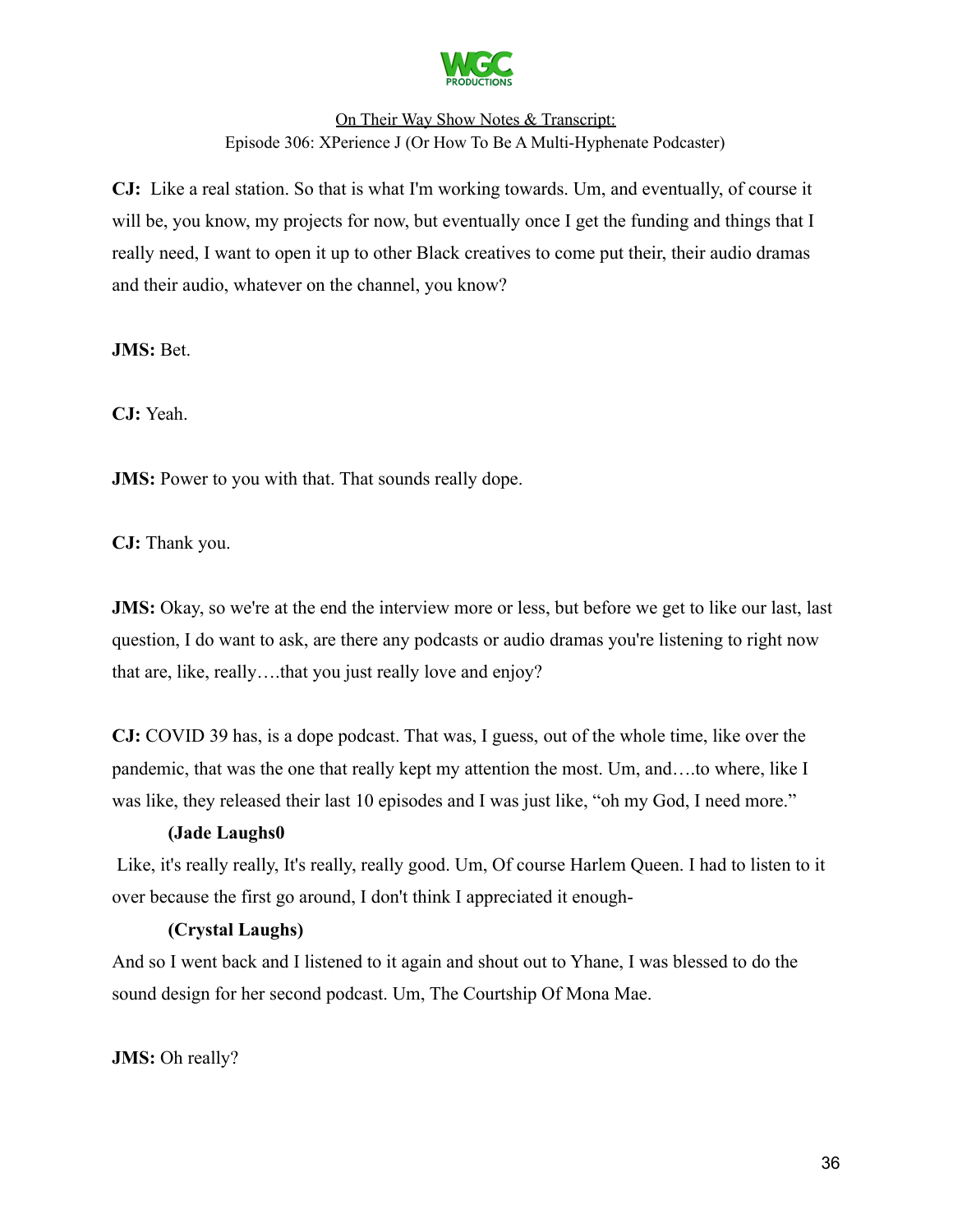

**CJ:** Like a real station. So that is what I'm working towards. Um, and eventually, of course it will be, you know, my projects for now, but eventually once I get the funding and things that I really need, I want to open it up to other Black creatives to come put their, their audio dramas and their audio, whatever on the channel, you know?

**JMS:** Bet.

**CJ:** Yeah.

**JMS:** Power to you with that. That sounds really dope.

**CJ:** Thank you.

**JMS:** Okay, so we're at the end the interview more or less, but before we get to like our last, last question, I do want to ask, are there any podcasts or audio dramas you're listening to right now that are, like, really….that you just really love and enjoy?

**CJ:** COVID 39 has, is a dope podcast. That was, I guess, out of the whole time, like over the pandemic, that was the one that really kept my attention the most. Um, and….to where, like I was like, they released their last 10 episodes and I was just like, "oh my God, I need more."

### **(Jade Laughs0**

Like, it's really really, It's really, really good. Um, Of course Harlem Queen. I had to listen to it over because the first go around, I don't think I appreciated it enough-

### **(Crystal Laughs)**

And so I went back and I listened to it again and shout out to Yhane, I was blessed to do the sound design for her second podcast. Um, The Courtship Of Mona Mae.

**JMS:** Oh really?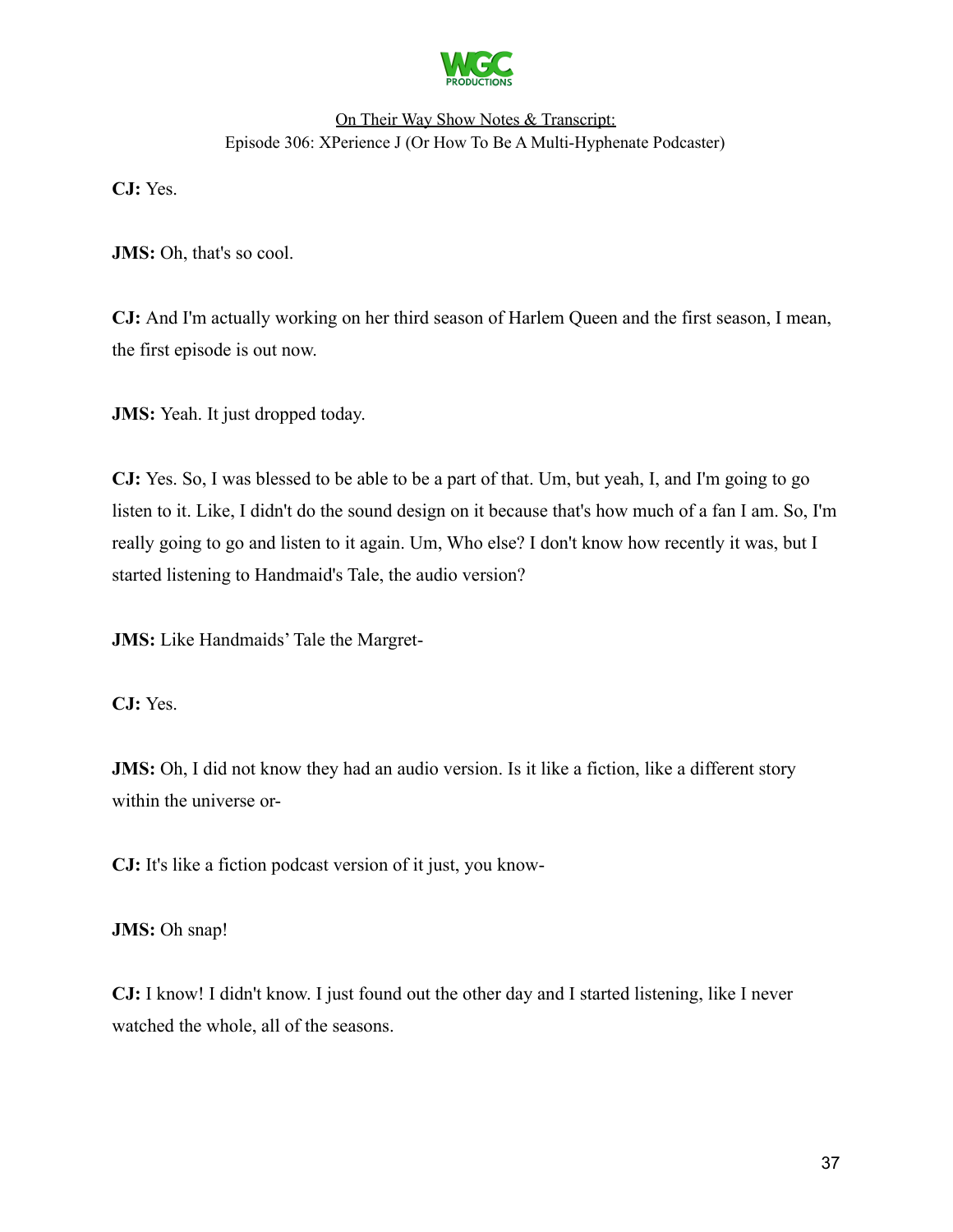

**CJ:** Yes.

**JMS:** Oh, that's so cool.

**CJ:** And I'm actually working on her third season of Harlem Queen and the first season, I mean, the first episode is out now.

**JMS:** Yeah. It just dropped today.

**CJ:** Yes. So, I was blessed to be able to be a part of that. Um, but yeah, I, and I'm going to go listen to it. Like, I didn't do the sound design on it because that's how much of a fan I am. So, I'm really going to go and listen to it again. Um, Who else? I don't know how recently it was, but I started listening to Handmaid's Tale, the audio version?

**JMS:** Like Handmaids' Tale the Margret-

**CJ:** Yes.

**JMS:** Oh, I did not know they had an audio version. Is it like a fiction, like a different story within the universe or-

**CJ:** It's like a fiction podcast version of it just, you know-

**JMS:** Oh snap!

**CJ:** I know! I didn't know. I just found out the other day and I started listening, like I never watched the whole, all of the seasons.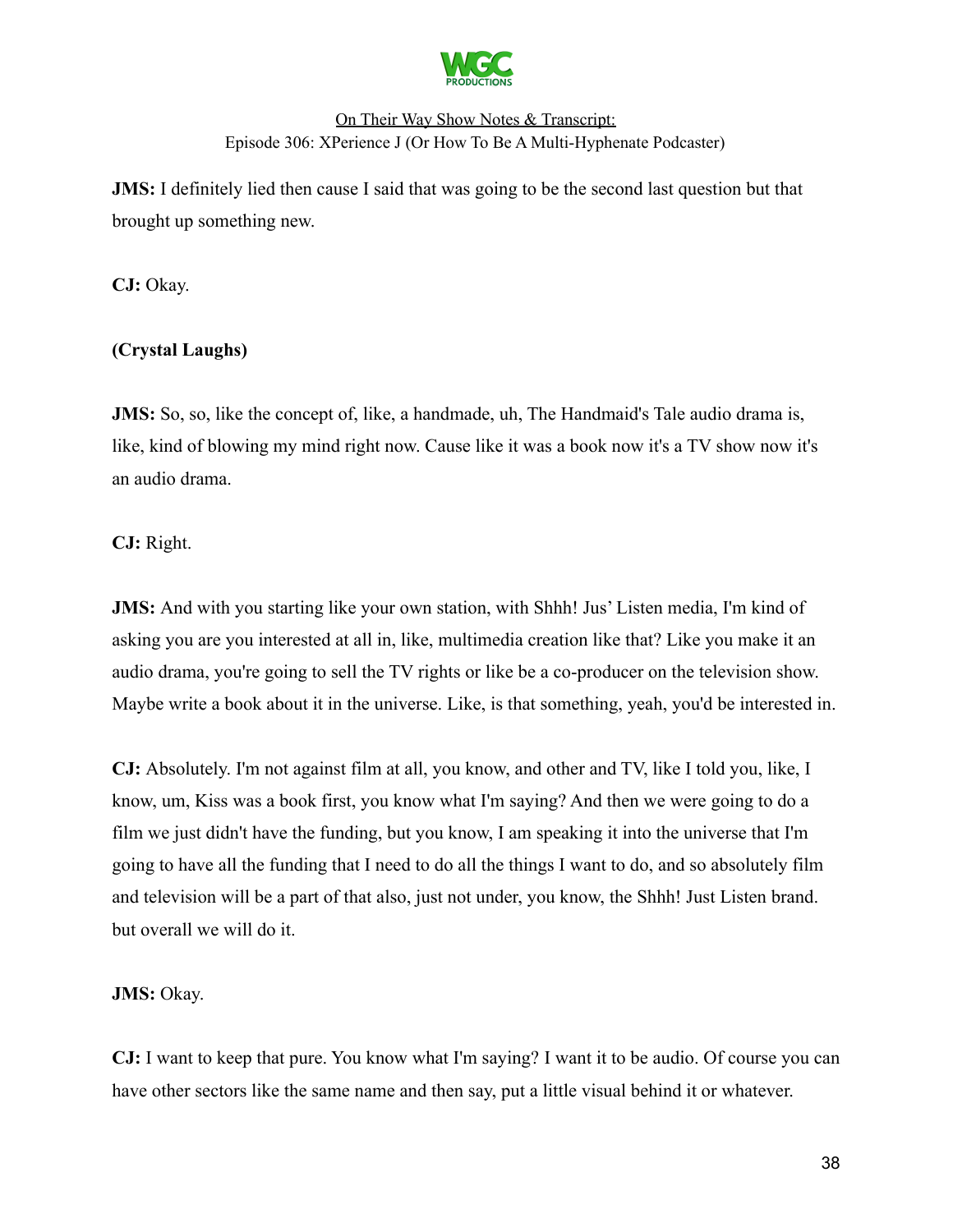

**JMS:** I definitely lied then cause I said that was going to be the second last question but that brought up something new.

**CJ:** Okay.

# **(Crystal Laughs)**

**JMS:** So, so, like the concept of, like, a handmade, uh, The Handmaid's Tale audio drama is, like, kind of blowing my mind right now. Cause like it was a book now it's a TV show now it's an audio drama.

**CJ:** Right.

**JMS:** And with you starting like your own station, with Shhh! Jus' Listen media, I'm kind of asking you are you interested at all in, like, multimedia creation like that? Like you make it an audio drama, you're going to sell the TV rights or like be a co-producer on the television show. Maybe write a book about it in the universe. Like, is that something, yeah, you'd be interested in.

**CJ:** Absolutely. I'm not against film at all, you know, and other and TV, like I told you, like, I know, um, Kiss was a book first, you know what I'm saying? And then we were going to do a film we just didn't have the funding, but you know, I am speaking it into the universe that I'm going to have all the funding that I need to do all the things I want to do, and so absolutely film and television will be a part of that also, just not under, you know, the Shhh! Just Listen brand. but overall we will do it.

### **JMS:** Okay.

**CJ:** I want to keep that pure. You know what I'm saying? I want it to be audio. Of course you can have other sectors like the same name and then say, put a little visual behind it or whatever.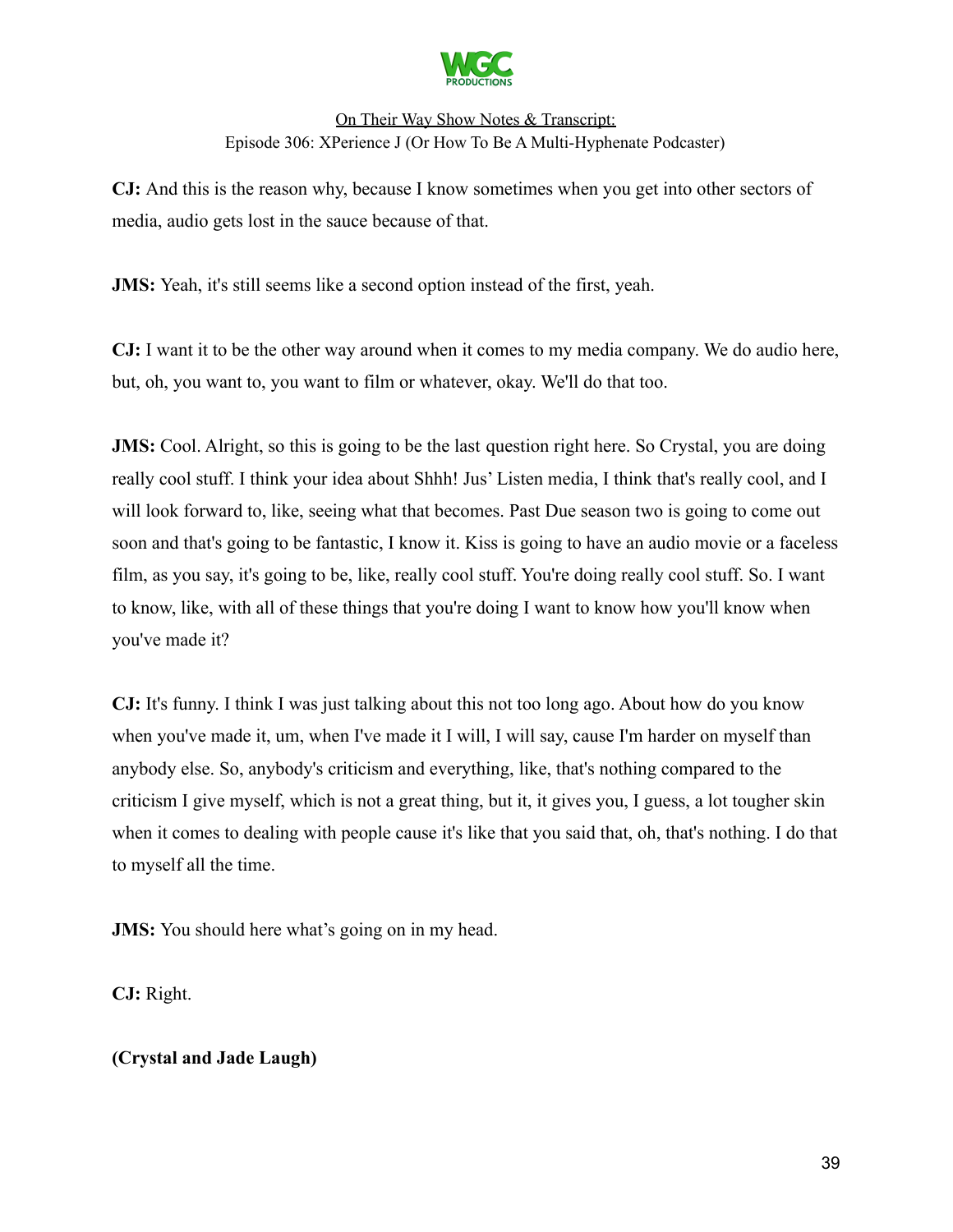

**CJ:** And this is the reason why, because I know sometimes when you get into other sectors of media, audio gets lost in the sauce because of that.

**JMS:** Yeah, it's still seems like a second option instead of the first, yeah.

**CJ:** I want it to be the other way around when it comes to my media company. We do audio here, but, oh, you want to, you want to film or whatever, okay. We'll do that too.

**JMS:** Cool. Alright, so this is going to be the last question right here. So Crystal, you are doing really cool stuff. I think your idea about Shhh! Jus' Listen media, I think that's really cool, and I will look forward to, like, seeing what that becomes. Past Due season two is going to come out soon and that's going to be fantastic, I know it. Kiss is going to have an audio movie or a faceless film, as you say, it's going to be, like, really cool stuff. You're doing really cool stuff. So. I want to know, like, with all of these things that you're doing I want to know how you'll know when you've made it?

**CJ:** It's funny. I think I was just talking about this not too long ago. About how do you know when you've made it, um, when I've made it I will, I will say, cause I'm harder on myself than anybody else. So, anybody's criticism and everything, like, that's nothing compared to the criticism I give myself, which is not a great thing, but it, it gives you, I guess, a lot tougher skin when it comes to dealing with people cause it's like that you said that, oh, that's nothing. I do that to myself all the time.

**JMS:** You should here what's going on in my head.

**CJ:** Right.

### **(Crystal and Jade Laugh)**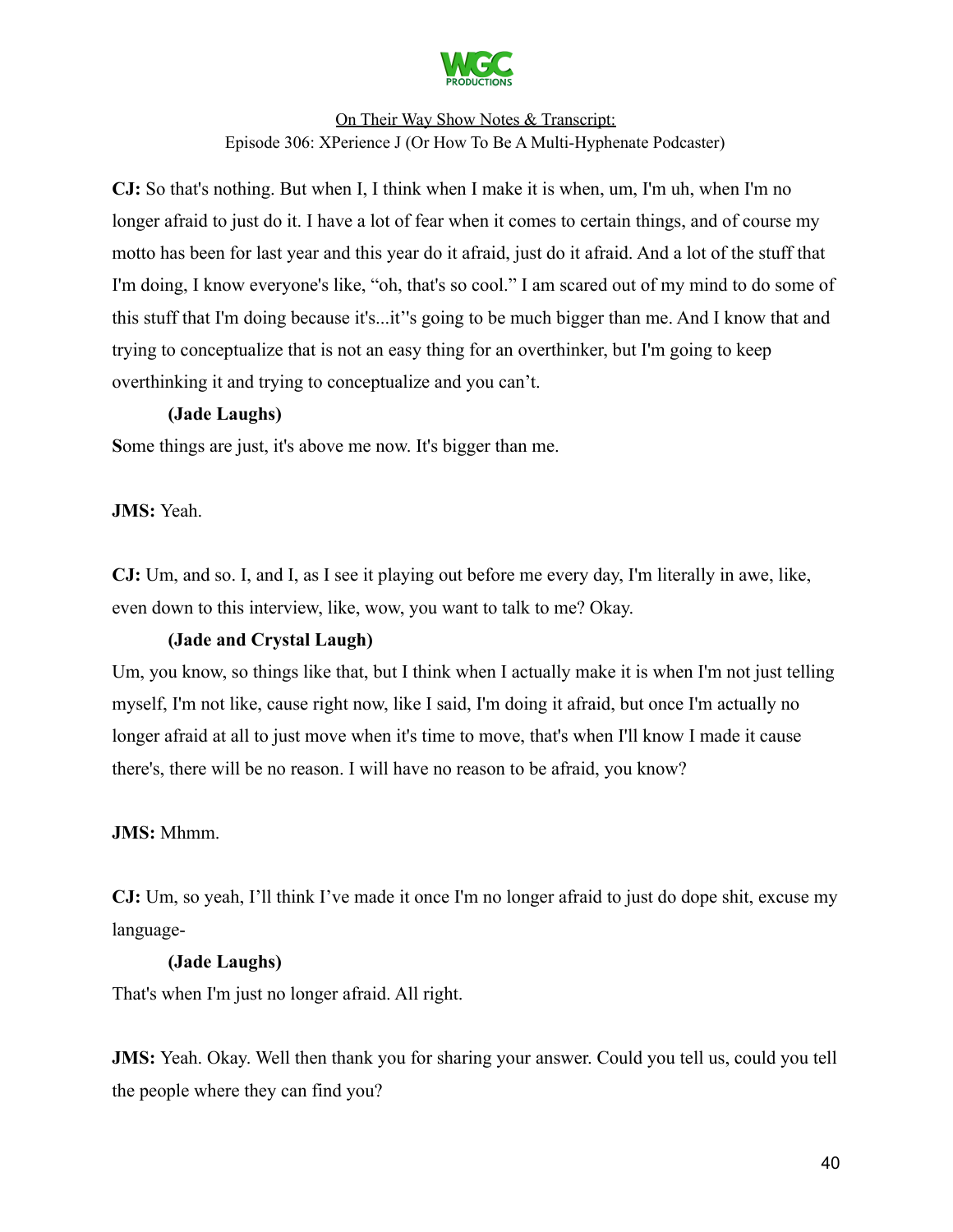

**CJ:** So that's nothing. But when I, I think when I make it is when, um, I'm uh, when I'm no longer afraid to just do it. I have a lot of fear when it comes to certain things, and of course my motto has been for last year and this year do it afraid, just do it afraid. And a lot of the stuff that I'm doing, I know everyone's like, "oh, that's so cool." I am scared out of my mind to do some of this stuff that I'm doing because it's...it''s going to be much bigger than me. And I know that and trying to conceptualize that is not an easy thing for an overthinker, but I'm going to keep overthinking it and trying to conceptualize and you can't.

#### **(Jade Laughs)**

**S**ome things are just, it's above me now. It's bigger than me.

**JMS:** Yeah.

**CJ:** Um, and so. I, and I, as I see it playing out before me every day, I'm literally in awe, like, even down to this interview, like, wow, you want to talk to me? Okay.

### **(Jade and Crystal Laugh)**

Um, you know, so things like that, but I think when I actually make it is when I'm not just telling myself, I'm not like, cause right now, like I said, I'm doing it afraid, but once I'm actually no longer afraid at all to just move when it's time to move, that's when I'll know I made it cause there's, there will be no reason. I will have no reason to be afraid, you know?

### **JMS:** Mhmm.

**CJ:** Um, so yeah, I'll think I've made it once I'm no longer afraid to just do dope shit, excuse my language-

#### **(Jade Laughs)**

That's when I'm just no longer afraid. All right.

**JMS:** Yeah. Okay. Well then thank you for sharing your answer. Could you tell us, could you tell the people where they can find you?